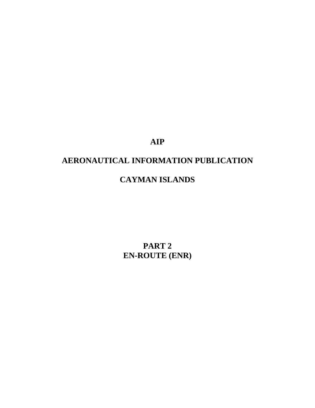**AIP**

# **AERONAUTICAL INFORMATION PUBLICATION**

# **CAYMAN ISLANDS**

**PART 2 EN-ROUTE (ENR)**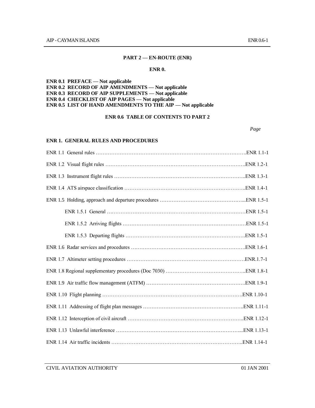#### **PART 2 — EN-ROUTE (ENR)**

#### **ENR 0.**

# **ENR 0.1 PREFACE — Not applicable ENR 0.2 RECORD OF AIP AMENDMENTS — Not applicable ENR 0.3 RECORD OF AIP SUPPLEMENTS — Not applicable ENR 0.4 CHECKLIST OF AIP PAGES — Not applicable ENR 0.5 LIST OF HAND AMENDMENTS TO THE AIP — Not applicable**

# **ENR 0.6 TABLE OF CONTENTS TO PART 2**

*Page*

#### **ENR 1. GENERAL RULES AND PROCEDURES**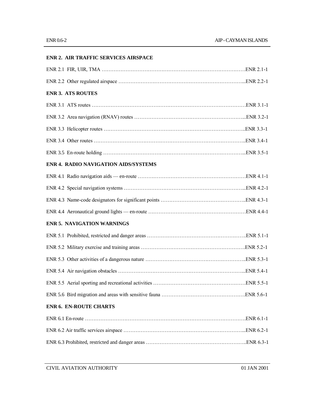| <b>ENR 2. AIR TRAFFIC SERVICES AIRSPACE</b> |  |
|---------------------------------------------|--|
|                                             |  |
|                                             |  |
| <b>ENR 3. ATS ROUTES</b>                    |  |
|                                             |  |
|                                             |  |
|                                             |  |
|                                             |  |
|                                             |  |
| ENR 4. RADIO NAVIGATION AIDS/SYSTEMS        |  |
|                                             |  |
|                                             |  |
|                                             |  |
|                                             |  |
| <b>ENR 5. NAVIGATION WARNINGS</b>           |  |
|                                             |  |
|                                             |  |
|                                             |  |
|                                             |  |
|                                             |  |
|                                             |  |
| <b>ENR 6. EN-ROUTE CHARTS</b>               |  |
|                                             |  |
|                                             |  |

ENR 6.3 Prohibited, restricted and danger areas …………………………………………………..ENR 6.3-1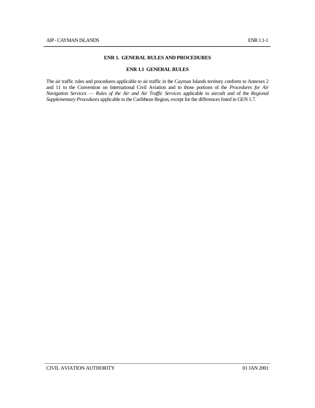### **ENR 1. GENERAL RULES AND PROCEDURES**

#### **ENR 1.1 GENERAL RULES**

The air traffic rules and procedures applicable to air traffic in the Cayman Islands territory conform to Annexes 2 and 11 to the Convention on International Civil Aviation and to those portions of the *Procedures for Air Navigation Services* — *Rules of the Air and Air Traffic Services* applicable to aircraft and of the *Regional Supplementary Procedures* applicable to the Caribbean Region, except for the differences listed in GEN 1.7.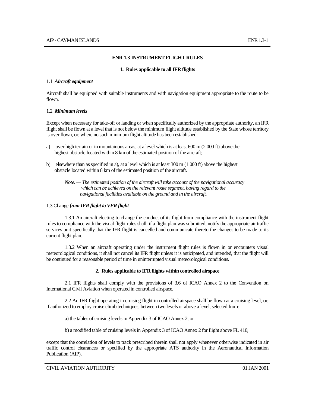#### **ENR 1.3 INSTRUMENT FLIGHT RULES**

#### **1. Rules applicable to all IFR flights**

#### 1.1 *Aircraft equipment*

Aircraft shall be equipped with suitable instruments and with navigation equipment appropriate to the route to be flown.

#### 1.2 *Minimum levels*

Except when necessary for take-off or landing or when specifically authorized by the appropriate authority, an IFR flight shall be flown at a level that is not below the minimum flight altitude established by the State whose territory is over flown, or, where no such minimum flight altitude has been established:

- a) over high terrain or in mountainous areas, at a level which is at least 600 m (2 000 ft) above the highest obstacle located within 8 km of the estimated position of the aircraft;
- b) elsewhere than as specified in a), at a level which is at least 300 m (1 000 ft) above the highest obstacle located within 8 km of the estimated position of the aircraft.

# *Note. — The estimated position of the aircraft will take account of the navigational accuracy which can be achieved on the relevant route segment, having regard to the navigational facilities available on the ground and in the aircraft.*

#### 1.3 Change *from IFR flight to VFR flight*

1.3.1 An aircraft electing to change the conduct of its flight from compliance with the instrument flight rules to compliance with the visual flight rules shall, if a flight plan was submitted, notify the appropriate air traffic services unit specifically that the IFR flight is cancelled and communicate thereto the changes to be made to its current flight plan.

1.3.2 When an aircraft operating under the instrument flight rules is flown in or encounters visual meteorological conditions, it shall not cancel its IFR flight unless it is anticipated, and intended, that the flight will be continued for a reasonable period of time in uninterrupted visual meteorological conditions.

#### **2. Rules applicable to IFR flights within controlled airspace**

2.1 IFR flights shall comply with the provisions of 3.6 of ICAO Annex 2 to the Convention on International Civil Aviation when operated in controlled airspace.

2.2 An IFR flight operating in cruising flight in controlled airspace shall be flown at a cruising level, or, if authorized to employ cruise climb techniques, between two levels or above a level, selected from:

a) the tables of cruising levels in Appendix 3 of ICAO Annex 2, or

b) a modified table of cruising levels in Appendix 3 of ICAO Annex 2 for flight above FL 410,

except that the correlation of levels to track prescribed therein shall not apply whenever otherwise indicated in air traffic control clearances or specified by the appropriate ATS authority in the Aeronautical Information Publication (AIP).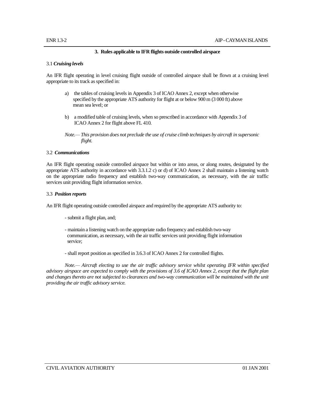#### **3. Rules applicable to IFR flights outside controlled airspace**

#### 3.1 *Cruising levels*

An IFR flight operating in level cruising flight outside of controlled airspace shall be flown at a cruising level appropriate to its track as specified in:

- a) the tables of cruising levels in Appendix 3 of ICAO Annex 2, except when otherwise specified by the appropriate ATS authority for flight at or below 900 m (3 000 ft) above mean sea level; or
- b) a modified table of cruising levels, when so prescribed in accordance with Appendix 3 of ICAO Annex 2 for flight above FL 410.
- *Note.— This provision does not preclude the use of cruise climb techniques by aircraft in supersonic flight.*

## 3.2 *Communications*

An IFR flight operating outside controlled airspace but within or into areas, or along routes, designated by the appropriate ATS authority in accordance with 3.3.1.2 c) or d) of ICAO Annex 2 shall maintain a listening watch on the appropriate radio frequency and establish two-way communication, as necessary, with the air traffic services unit providing flight information service.

## 3.3 *Position reports*

An IFR flight operating outside controlled airspace and required by the appropriate ATS authority to:

- submit a flight plan, and;
- maintain a listening watch on the appropriate radio frequency and establish two-way communication, as necessary, with the air traffic services unit providing flight information service;
- shall report position as specified in 3.6.3 of ICAO Annex 2 for controlled flights.

*Note.— Aircraft electing to use the air traffic advisory service whilst operating IFR within specified advisory airspace are expected to comply with the provisions of 3.6 of ICAO Annex 2, except that the flight plan*  and changes thereto are not subjected to clearances and two-way communication will be maintained with the unit *providing the air traffic advisory service.*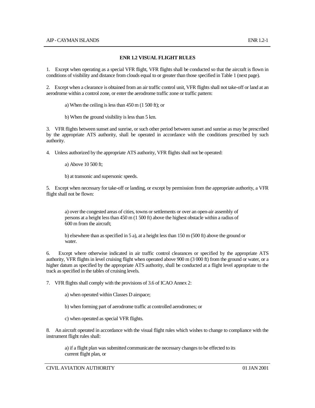## **ENR 1.2 VISUAL FLIGHT RULES**

1. Except when operating as a special VFR flight, VFR flights shall be conducted so that the aircraft is flown in conditions of visibility and distance from clouds equal to or greater than those specified in Table 1 (next page).

2. Except when a clearance is obtained from an air traffic control unit, VFR flights shall not take-off or land at an aerodrome within a control zone, or enter the aerodrome traffic zone or traffic pattern:

- a) When the ceiling is less than 450 m (1 500 ft); or
- b) When the ground visibility is less than 5 km.

3. VFR flights between sunset and sunrise, or such other period between sunset and sunrise as may be prescribed by the appropriate ATS authority, shall be operated in accordance with the conditions prescribed by such authority.

4. Unless authorized by the appropriate ATS authority, VFR flights shall not be operated:

a) Above 10 500 ft;

b) at transonic and supersonic speeds.

5. Except when necessary for take-off or landing, or except by permission from the appropriate authority, a VFR flight shall not be flown:

a) over the congested areas of cities, towns or settlements or over an open-air assembly of persons at a height less than 450 m (1 500 ft) above the highest obstacle within a radius of 600 m from the aircraft;

b) elsewhere than as specified in 5 a), at a height less than 150 m (500 ft) above the ground or water.

6. Except where otherwise indicated in air traffic control clearances or specified by the appropriate ATS authority, VFR flights in level cruising flight when operated above 900 m (3 000 ft) from the ground or water, or a higher datum as specified by the appropriate ATS authority, shall be conducted at a flight level appropriate to the track as specified in the tables of cruising levels.

7. VFR flights shall comply with the provisions of 3.6 of ICAO Annex 2:

a) when operated within Classes D airspace;

b) when forming part of aerodrome traffic at controlled aerodromes; or

c) when operated as special VFR flights.

8. An aircraft operated in accordance with the visual flight rules which wishes to change to compliance with the instrument flight rules shall:

a) if a flight plan was submitted communicate the necessary changes to be effected to its current flight plan, or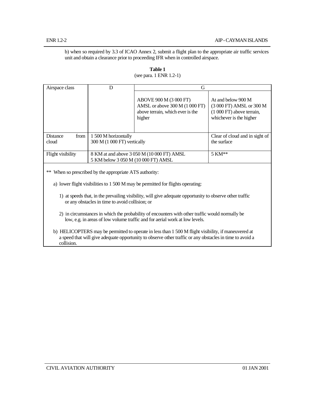| b) when so required by 3.3 of ICAO Annex 2, submit a flight plan to the appropriate air traffic services |  |
|----------------------------------------------------------------------------------------------------------|--|
| unit and obtain a clearance prior to proceeding IFR when in controlled airspace.                         |  |

| Airspace class                                                                                                                                                                 | D                                                                                 | G                                                                                                      |                                                                                                          |  |
|--------------------------------------------------------------------------------------------------------------------------------------------------------------------------------|-----------------------------------------------------------------------------------|--------------------------------------------------------------------------------------------------------|----------------------------------------------------------------------------------------------------------|--|
|                                                                                                                                                                                |                                                                                   | ABOVE 900 M (3 000 FT)<br>AMSL or above 300 M (1 000 FT)<br>above terrain, which ever is the<br>higher | At and below 900 M<br>(3 000 FT) AMSL or 300 M<br>$(1 000 FT)$ above terrain,<br>whichever is the higher |  |
| Distance<br>from<br>cloud                                                                                                                                                      | 1 500 M horizontally<br>300 M (1 000 FT) vertically                               |                                                                                                        | Clear of cloud and in sight of<br>the surface                                                            |  |
| Flight visibility                                                                                                                                                              | 8 KM at and above 3 050 M (10 000 FT) AMSL<br>5 KM below 3 050 M (10 000 FT) AMSL |                                                                                                        | 5 KM**                                                                                                   |  |
| ** When so prescribed by the appropriate ATS authority:                                                                                                                        |                                                                                   |                                                                                                        |                                                                                                          |  |
| a) lower flight visibilities to 1 500 M may be permitted for flights operating:                                                                                                |                                                                                   |                                                                                                        |                                                                                                          |  |
| 1) at speeds that, in the prevailing visibility, will give adequate opportunity to observe other traffic<br>or any obstacles in time to avoid collision; or                    |                                                                                   |                                                                                                        |                                                                                                          |  |
| 2) in circumstances in which the probability of encounters with other traffic would normally be<br>low, e.g. in areas of low volume traffic and for aerial work at low levels. |                                                                                   |                                                                                                        |                                                                                                          |  |
| $\mathbb{R}$ IIEI ICODTED $\mathbb{C}$ may be normitted to enough in loss than 1.500 M flight visibility if manaurand at                                                       |                                                                                   |                                                                                                        |                                                                                                          |  |

**Table 1** (see para. 1 ENR 1.2-1)

b) HELICOPTERS may be permitted to operate in less than 1 500 M flight visibility, if maneuvered at a speed that will give adequate opportunity to observe other traffic or any obstacles in time to avoid a collision.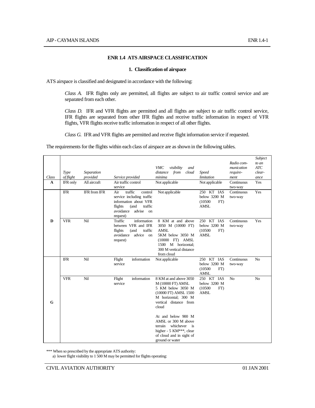#### **ENR 1.4 ATS AIRSPACE CLASSIFICATION**

#### **1. Classification of airspace**

ATS airspace is classified and designated in accordance with the following:

*Class A.* IFR flights only are permitted, all flights are subject to air traffic control service and are separated from each other.

*Class D.* IFR and VFR flights are permitted and all flights are subject to air traffic control service, IFR flights are separated from other IFR flights and receive traffic information in respect of VFR flights, VFR flights receive traffic information in respect of all other flights.

*Class G.* IFR and VFR flights are permitted and receive flight information service if requested.

The requirements for the flights within each class of airspace are as shown in the following tables.

| Class<br>A | Type<br><i>of flight</i><br>IFR only | Separation<br>provided<br>All aircraft | Service provided<br>Air traffic control<br>service                                                                                                                | <b>VMC</b><br>visibility<br>and<br>from<br>cloud<br>distance<br>minima<br>Not applicable                                                                         | <b>Speed</b><br>limitation<br>Not applicable                | Radio com-<br>munication<br>require-<br>ment<br>Continuous<br>two-way | Subject<br>to an<br>ATC<br>clear-<br>ance<br>Yes |
|------------|--------------------------------------|----------------------------------------|-------------------------------------------------------------------------------------------------------------------------------------------------------------------|------------------------------------------------------------------------------------------------------------------------------------------------------------------|-------------------------------------------------------------|-----------------------------------------------------------------------|--------------------------------------------------|
|            | <b>IFR</b>                           | <b>IFR</b> from IFR                    | traffic<br>Air<br>control<br>service including traffic<br>information about VFR<br>traffic<br>flights<br>(and<br>avoidance<br>advise<br><sub>on</sub><br>request) | Not applicable                                                                                                                                                   | 250 KT IAS<br>below 3200 M<br>(10500)<br>FT)<br><b>AMSL</b> | Continuous<br>two-way                                                 | Yes                                              |
| D          | <b>VFR</b>                           | Nil                                    | Traffic<br>information<br>between VFR and IFR<br>traffic<br>flights<br>(and<br>avoidance advice on<br>request)                                                    | 8 KM at and above<br>3050 M (10000 FT)<br><b>AMSL</b><br>5KM below 3050 M<br>$(10000 \t FT)$ AMSL<br>1500 M horizontal:<br>300 M vertical distance<br>from cloud | 250 KT IAS<br>below 3200 M<br>(10500)<br>FT<br><b>AMSL</b>  | Continuous<br>two-way                                                 | Yes                                              |
|            | <b>IFR</b>                           | Nil                                    | Flight<br>information<br>service                                                                                                                                  | Not applicable                                                                                                                                                   | 250 KT IAS<br>below 3200 M<br>(10500)<br>FT<br>AMSL         | Continuous<br>two-way                                                 | N <sub>0</sub>                                   |
| G          | <b>VFR</b>                           | Nil                                    | information<br>Flight<br>service                                                                                                                                  | 8 KM at and above 3050<br>M (10000 FT) AMSL<br>5 KM below 3050 M<br>(10000 FT) AMSL 1500<br>M horizontal; 300 M<br>vertical distance from<br>cloud               | 250 KT IAS<br>below 3200 M<br>(10500)<br>FT<br><b>AMSL</b>  | No                                                                    | N <sub>0</sub>                                   |
|            |                                      |                                        |                                                                                                                                                                   | At and below 900 M<br>AMSL or 300 M above<br>whichever is<br>terrain<br>higher - 5 KM***, clear<br>of cloud and in sight of<br>ground or water                   |                                                             |                                                                       |                                                  |

\*\*\* When so prescribed by the appropriate ATS authority:

a) lower flight visibility to 1 500 M may be permitted for flights operating: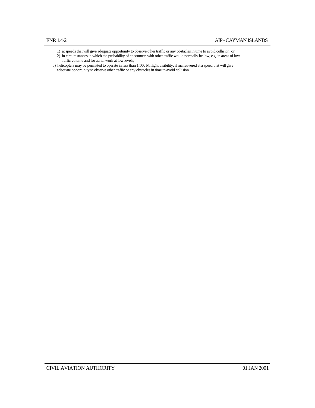- 1) at speeds that will give adequate opportunity to observe other traffic or any obstacles in time to avoid collision; or
- 2) in circumstances in which the probability of encounters with other traffic would normally be low, e.g. in areas of low traffic volume and for aerial work at low levels;
- b) helicopters may be permitted to operate in less than 1 500 M flight visibility, if maneuvered at a speed that will give adequate opportunity to observe other traffic or any obstacles in time to avoid collision.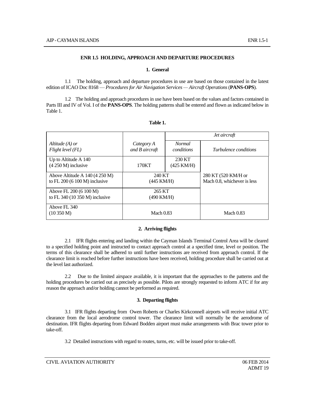# **ENR 1.5 HOLDING, APPROACH AND DEPARTURE PROCEDURES**

## **1. General**

1.1 The holding, approach and departure procedures in use are based on those contained in the latest edition of ICAO Doc 8168 — *Procedures for Air Navigation Services — Aircraft Operations* (**PANS-OPS**).

1.2 The holding and approach procedures in use have been based on the values and factors contained in Parts III and IV of Vol. I of the **PANS-OPS**. The holding patterns shall be entered and flown as indicated below in Table 1.

| п<br>Ш |  |
|--------|--|
|--------|--|

|                                                                 |                              | Jet aircraft                |                                                    |
|-----------------------------------------------------------------|------------------------------|-----------------------------|----------------------------------------------------|
| Altitude $(A)$ or<br>Flight level (FL)                          | Category A<br>and B aircraft | <b>Normal</b><br>conditions | Turbulence conditions                              |
| Up to Altitude $A$ 140<br>$(4250 M)$ inclusive                  | 170KT                        | 230 KT<br>(425 KM/H)        |                                                    |
| Above Altitude A 140 (4 250 M)<br>to FL $200(6100 M)$ inclusive | 240 KT<br>(445 KM/H)         |                             | 280 KT (520 KM/H or<br>Mach 0.8, whichever is less |
| Above FL 200 (6 100 M)<br>to FL 340 (10 350 M) inclusive        | 265 KT<br>(490 KM/H)         |                             |                                                    |
| Above FL 340<br>(10350 M)                                       | Mach $0.83$                  |                             | <b>Mach 0.83</b>                                   |

#### **2. Arriving flights**

2.1 IFR flights entering and landing within the Cayman Islands Terminal Control Area will be cleared to a specified holding point and instructed to contact approach control at a specified time, level or position. The terms of this clearance shall be adhered to until further instructions are received from approach control. If the clearance limit is reached before further instructions have been received, holding procedure shall be carried out at the level last authorized.

2.2 Due to the limited airspace available, it is important that the approaches to the patterns and the holding procedures be carried out as precisely as possible. Pilots are strongly requested to inform ATC if for any reason the approach and/or holding cannot be performed as required.

# **3. Departing flights**

3.1 IFR flights departing from Owen Roberts or Charles Kirkconnell airports will receive initial ATC clearance from the local aerodrome control tower. The clearance limit will normally be the aerodrome of destination. IFR flights departing from Edward Bodden airport must make arrangements with Brac tower prior to take-off.

3.2 Detailed instructions with regard to routes, turns, etc. will be issued prior to take-off.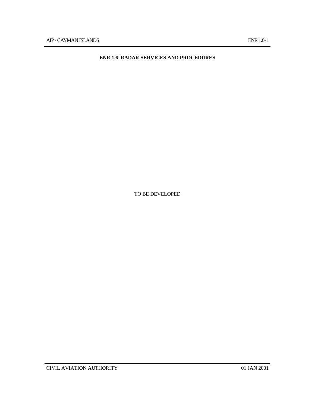**ENR 1.6 RADAR SERVICES AND PROCEDURES**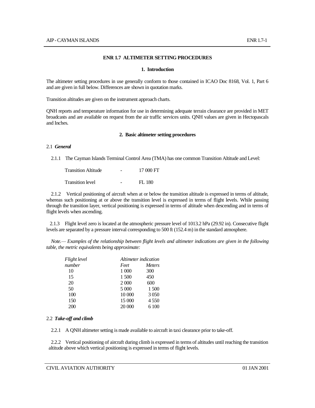#### **ENR 1.7 ALTIMETER SETTING PROCEDURES**

#### **1. Introduction**

The altimeter setting procedures in use generally conform to those contained in ICAO Doc 8168, Vol. 1, Part 6 and are given in full below. Differences are shown in quotation marks.

Transition altitudes are given on the instrument approach charts.

QNH reports and temperature information for use in determining adequate terrain clearance are provided in MET broadcasts and are available on request from the air traffic services units. QNH values are given in Hectopascals and Inches.

#### **2. Basic altimeter setting procedures**

#### 2.1 *General*

2.1.1 The Cayman Islands Terminal Control Area (TMA) has one common Transition Altitude and Level:

| <b>Transition Altitude</b> | - | 17 000 FT |
|----------------------------|---|-----------|
| <b>Transition level</b>    | - | FL 180    |

 2.1.2 Vertical positioning of aircraft when at or below the transition altitude is expressed in terms of altitude, whereas such positioning at or above the transition level is expressed in terms of flight levels. While passing through the transition layer, vertical positioning is expressed in terms of altitude when descending and in terms of flight levels when ascending.

 2.1.3 Flight level zero is located at the atmospheric pressure level of 1013.2 hPa (29.92 in). Consecutive flight levels are separated by a pressure interval corresponding to 500 ft (152.4 m) in the standard atmosphere.

 *Note.— Examples of the relationship between flight levels and altimeter indications are given in the following table, the metric equivalents being approximate:*

| Flight level | Altimeter indication |               |  |
|--------------|----------------------|---------------|--|
| number       | Feet                 | <b>Meters</b> |  |
| 10           | 1 000                | 300           |  |
| 15           | 1 500                | 450           |  |
| 20           | 2 000                | 600           |  |
| 50           | 5 0 0 0              | 1 500         |  |
| 100          | 10 000               | 3 0 5 0       |  |
| 150          | 15 000               | 4550          |  |
| 200          | 20 000               | 6 100         |  |

#### 2.2 *Take-off and climb*

2.2.1 A QNH altimeter setting is made available to aircraft in taxi clearance prior to take-off.

 2.2.2 Vertical positioning of aircraft during climb is expressed in terms of altitudes until reaching the transition altitude above which vertical positioning is expressed in terms of flight levels.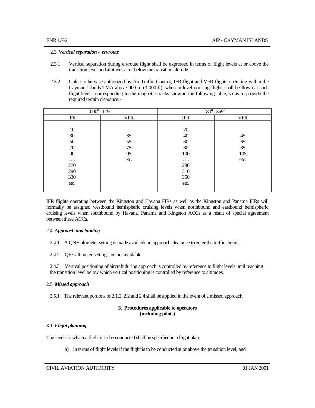# 2.3 *Vertical separation - en-route*

- 2.3.1 Vertical separation during en-route flight shall be expressed in terms of flight levels at or above the transition level and altitudes at or below the transition altitude.
- 2.3.2 Unless otherwise authorized by Air Traffic Control, IFR flight and VFR flights operating within the Cayman Islands TMA above 900 m (3 000 ft), when in level cruising flight, shall be flown at such flight levels, corresponding to the magnetic tracks show in the following table, so as to provide the required terrain clearance:-

|            | $000^0 - 179^0$ |            | $180^0 - 359^0$ |
|------------|-----------------|------------|-----------------|
| <b>IFR</b> | <b>VFR</b>      | <b>IFR</b> | <b>VFR</b>      |
|            |                 |            |                 |
| 10         |                 | 20         |                 |
| 30         | 35              | 40         | 45              |
| 50         | 55              | 60         | 65              |
| 70         | $75\,$          | 80         | 85              |
| 90         | 95              | 100        | 105             |
| $\cdots$   | etc.            | $\cdots$   | etc.            |
| 270        |                 | 280        |                 |
| 290        |                 | 310        |                 |
| 330        |                 | 350        |                 |
| etc.       |                 | etc.       |                 |
|            |                 |            |                 |

IFR flights operating between the Kingston and Havana FIRs as well as the Kingston and Panama FIRs will normally be assigned westbound hemispheric cruising levels when northbound and eastbound hemispheric cruising levels when southbound by Havana, Panama and Kingston ACCs as a result of special agreement between these ACCs.

# 2.4 *Approach and landing*

- 2.4.1 A QNH altimeter setting is made available in approach clearance to enter the traffic circuit.
- 2.4.2 QFE altimeter settings are not available.

2.4.3 Vertical positioning of aircraft during approach is controlled by reference to flight levels until reaching the transition level below which vertical positioning is controlled by reference to altitudes.

# 2.5 *Missed approach*

2.5.1 The relevant portions of 2.1.2, 2.2 and 2.4 shall be applied in the event of a missed approach.

# **3. Procedures applicable to operators (including pilots)**

# 3.1 *Flight planning*

The levels at which a flight is to be conducted shall be specified in a flight plan:

a) in terms of flight levels if the flight isto be conducted at or above the transition level, and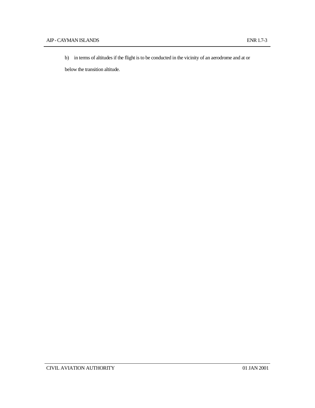b) in terms of altitudes if the flight is to be conducted in the vicinity of an aerodrome and at or

below the transition altitude.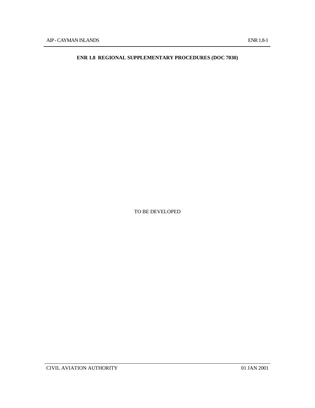**ENR 1.8 REGIONAL SUPPLEMENTARY PROCEDURES (DOC 7030)**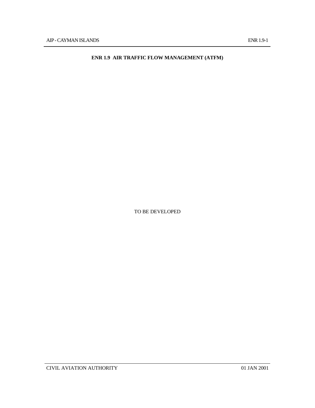**ENR 1.9 AIR TRAFFIC FLOW MANAGEMENT (ATFM)**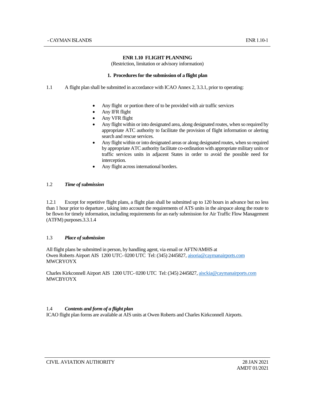# **ENR 1.10 FLIGHT PLANNING**

(Restriction, limitation or advisory information)

# **1. Procedures for the submission of a flight plan**

- 1.1 A flight plan shall be submitted in accordance with ICAO Annex 2, 3.3.1, prior to operating:
	- Any flight or portion there of to be provided with air traffic services
	- Any IFR flight
	- Any VFR flight
	- Any flight within or into designated area, along designated routes, when so required by appropriate ATC authority to facilitate the provision of flight information or alerting search and rescue services.
	- Any flight within or into designated areas or along designated routes, when so required by appropriate ATC authority facilitate co-ordination with appropriate military units or traffic services units in adjacent States in order to avoid the possible need for interception.
	- Any flight across international borders.

# 1.2 *Time of submission*

1.2.1 Except for repetitive flight plans, a flight plan shall be submitted up to 120 hours in advance but no less than 1 hour prior to departure , taking into account the requirements of ATS units in the airspace along the route to be flown for timely information, including requirements for an early submission for Air Traffic Flow Management (ATFM) purposes.3.3.1.4

# 1.3 *Place of submission*

All flight plans be submitted in person, by handling agent, via email or AFTN/AMHS at Owen Roberts Airport AIS 1200 UTC- 0200 UTC Tel: (345) 2445827[, aisoria@caymanairports.com](mailto:aisoria@caymanairports.com) MWCRYOYX

Charles Kirkconnell Airport AIS 1200 UTC- 0200 UTC Tel: (345) 2445827[, aisckia@caymanairports.com](mailto:aisckia@caymanairports.com) MWCBYOYX

# 1.4 *Contents and form of a flight plan*

ICAO flight plan forms are available at AIS units at Owen Roberts and Charles Kirkconnell Airports.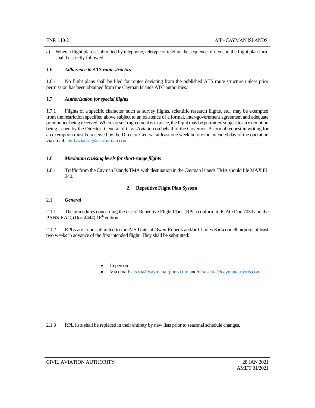a) When a flight plan is submitted by telephone, teletype or telefax, the sequence of items in the flight plan form shall be strictly followed.

# 1.6 *Adherence to ATS route structure*

1.6.1 No flight plans shall be filed for routes deviating from the published ATS route structure unless prior permission has been obtained from the Cayman Islands ATC authorities.

# 1.7 *Authorization for special flights*

1.7.1 Flights of a specific character, such as survey flights, scientific research flights, etc., may be exempted from the restriction specified above subject to an existence of a formal, inter-government agreement and adequate prior notice being received. Where no such agreement is in place, the flight may be permitted subject to an exemption being issued by the Director -General of Civil Aviation on behalf of the Governor. A formal request in writing for an exemption must be received by the Director-General at least one week before the intended day of the operation via email[, civil.aviation@caacayman.com](mailto:civil.aviation@caacayman.com)

## 1.8 *Maximum cruising levels for short-range flights*

1.8.1 Traffic from the Cayman Islands TMA with destination in the Cayman Islands TMA should file MAX FL 240.

# **2. Repetitive Flight Plan System**

## 2.1 *General*

2.1.1 The procedures concerning the use of Repetitive Flight Plans (RPL) conform to ICAO Doc 7030 and the PANS-RAC, (Doc 4444) 16<sup>th</sup> edition.

2.1.2 RPLs are to be submitted to the AIS Units at Owen Roberts and/or Charles Kirkconnell airports at least two weeks in advance of the first intended flight. They shall be submitted:

- In person
- Via email[: aisoria@caymanairports.com](mailto:aisoria@caymanairports.com) and/o[r aisckia@caymanairports.com](mailto:aisckia@caymanairports.com)

2.1.3 RPL lists shall be replaced in their entirety by new lists prior to seasonal schedule changes.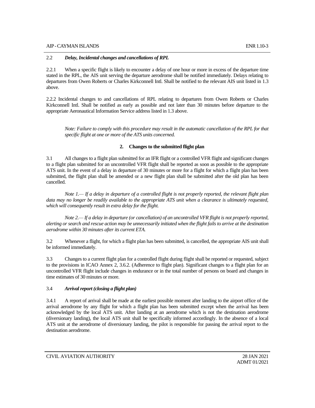# 2.2 *Delay, Incidental changes and cancellations of RPL*

2.2.1 When a specific flight is likely to encounter a delay of one hour or more in excess of the departure time stated in the RPL, the AIS unit serving the departure aerodrome shall be notified immediately. Delays relating to departures from Owen Roberts or Charles Kirkconnell Intl. Shall be notified to the relevant AIS unit listed in 1.3 above.

2.2.2 Incidental changes to and cancellations of RPL relating to departures from Owen Roberts or Charles Kirkconnell Intl. Shall be notified as early as possible and not later than 30 minutes before departure to the appropriate Aeronautical Information Service address listed in 1.3 above.

*Note: Failure to comply with this procedure may result in the automatic cancellation of the RPL for that specific flight at one or more of the ATS units concerned.*

# **2. Changes to the submitted flight plan**

3.1 All changes to a flight plan submitted for an IFR flight or a controlled VFR flight and significant changes to a flight plan submitted for an uncontrolled VFR flight shall be reported as soon as possible to the appropriate ATS unit. In the event of a delay in departure of 30 minutes or more for a flight for which a flight plan has been submitted, the flight plan shall be amended or a new flight plan shall be submitted after the old plan has been cancelled.

*Note 1.— If a delay in departure of a controlled flight is not properly reported, the relevant flight plan data may no longer be readily available to the appropriate ATS unit when a clearance is ultimately requested, which will consequently result in extra delay for the flight.*

*Note 2.— If a delay in departure (or cancellation) of an uncontrolled VFR flight is not properly reported, alerting or search and rescue action may be unnecessarily initiated when the flight fails to arrive at the destination aerodrome within 30 minutes after its current ETA.*

3.2 Whenever a flight, for which a flight plan has been submitted, is cancelled, the appropriate AIS unit shall be informed immediately.

3.3 Changes to a current flight plan for a controlled flight during flight shall be reported or requested, subject to the provisions in ICAO Annex 2, 3.6.2. (Adherence to flight plan). Significant changes to a flight plan for an uncontrolled VFR flight include changes in endurance or in the total number of persons on board and changes in time estimates of 30 minutes or more.

# 3.4 *Arrival report (closing a flight plan)*

3.4.1 A report of arrival shall be made at the earliest possible moment after landing to the airport office of the arrival aerodrome by any flight for which a flight plan has been submitted except when the arrival has been acknowledged by the local ATS unit. After landing at an aerodrome which is not the destination aerodrome (diversionary landing), the local ATS unit shall be specifically informed accordingly. In the absence of a local ATS unit at the aerodrome of diversionary landing, the pilot is responsible for passing the arrival report to the destination aerodrome.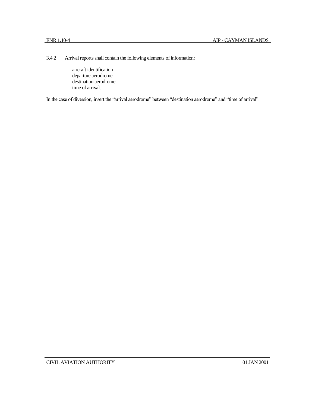- 3.4.2 Arrival reports shall contain the following elements of information:
	- aircraft identification
	- departure aerodrome
	- destination aerodrome
	- time of arrival.

In the case of diversion, insert the "arrival aerodrome" between "destination aerodrome" and "time of arrival".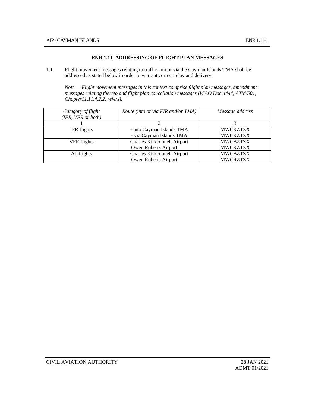# **ENR 1.11 ADDRESSING OF FLIGHT PLAN MESSAGES**

1.1 Flight movement messages relating to traffic into or via the Cayman Islands TMA shall be addressed as stated below in order to warrant correct relay and delivery.

*Note.— Flight movement messages in this context comprise flight plan messages, amendment messages relating thereto and flight plan cancellation messages (ICAO Doc 4444, ATM/501, Chapter11,11.4.2.2. refers).*

| Category of flight<br>(IFR, VFR or both) | Route (into or via FIR and/or TMA)                         | Message address                    |
|------------------------------------------|------------------------------------------------------------|------------------------------------|
|                                          |                                                            |                                    |
| IFR flights                              | - into Cayman Islands TMA<br>- via Cayman Islands TMA      | <b>MWCRZTZX</b><br><b>MWCRZTZX</b> |
| VFR flights                              | <b>Charles Kirkconnell Airport</b><br>Owen Roberts Airport | <b>MWCBZTZX</b><br><b>MWCRZTZX</b> |
| All flights                              | <b>Charles Kirkconnell Airport</b><br>Owen Roberts Airport | <b>MWCBZTZX</b><br><b>MWCRZTZX</b> |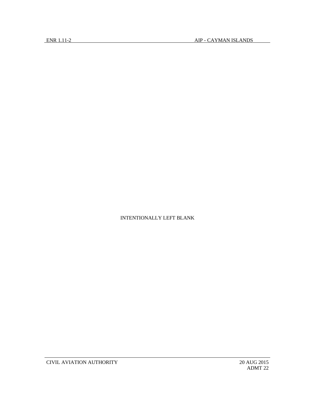# INTENTIONALLY LEFT BLANK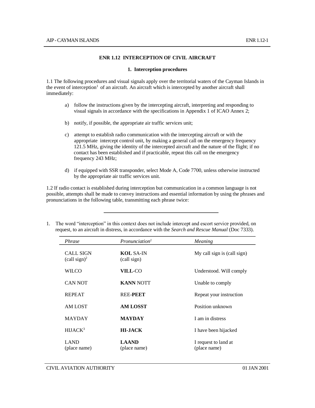#### **ENR 1.12 INTERCEPTION OF CIVIL AIRCRAFT**

#### **1. Interception procedures**

1.1 The following procedures and visual signals apply over the territorial waters of the Cayman Islands in the event of interception<sup>1</sup> of an aircraft. An aircraft which is intercepted by another aircraft shall immediately:

- a) follow the instructions given by the intercepting aircraft, interpreting and responding to visual signals in accordance with the specifications in Appendix 1 of ICAO Annex 2;
- b) notify, if possible, the appropriate air traffic services unit;
- c) attempt to establish radio communication with the intercepting aircraft or with the appropriate intercept control unit, by making a general call on the emergency frequency 121.5 MHz, giving the identity of the intercepted aircraft and the nature of the flight; if no contact has been established and if practicable, repeat this call on the emergency frequency 243 MHz;
- d) if equipped with SSR transponder, select Mode A, Code 7700, unless otherwise instructed by the appropriate air traffic services unit.

1.2 If radio contact is established during interception but communication in a common language is not possible, attempts shall be made to convey instructions and essential information by using the phrases and pronunciations in the following table, transmitting each phrase twice:

1. The word "interception" in this context does not include intercept and escort service provided, on request, to an aircraft in distress, in accordance with the *Search and Rescue Manual* (Doc 7333).

| Phrase                              | Pronunciation <sup>1</sup>      | Meaning                              |
|-------------------------------------|---------------------------------|--------------------------------------|
| <b>CALL SIGN</b><br>$(call sign)^2$ | <b>KOL SA-IN</b><br>(call sign) | My call sign is (call sign)          |
| <b>WILCO</b>                        | VILL-CO                         | Understood. Will comply              |
| <b>CAN NOT</b>                      | <b>KANN NOTT</b>                | Unable to comply                     |
| <b>REPEAT</b>                       | <b>REE-PEET</b>                 | Repeat your instruction              |
| AM LOST                             | <b>AM LOSST</b>                 | Position unknown                     |
| <b>MAYDAY</b>                       | <b>MAYDAY</b>                   | I am in distress                     |
| HIJACK <sup>3</sup>                 | <b>HI-JACK</b>                  | I have been hijacked                 |
| <b>LAND</b><br>(place name)         | <b>LAAND</b><br>(place name)    | I request to land at<br>(place name) |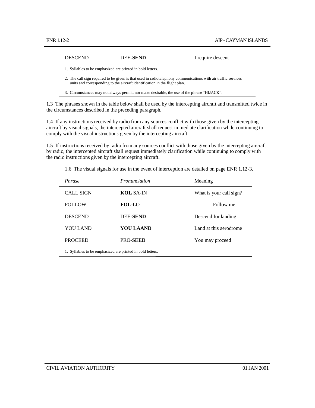#### DESCEND DEE-**SEND** I require descent

1. Syllables to be emphasized are printed in bold letters.

- 2. The call sign required to be given is that used in radiotelephony communications with air traffic services units and corresponding to the aircraft identification in the flight plan.
- 3. Circumstances may not always permit, nor make desirable, the use of the phrase "HIJACK".

1.3 The phrases shown in the table below shall be used by the intercepting aircraft and transmitted twice in the circumstances described in the preceding paragraph.

1.4 If any instructions received by radio from any sources conflict with those given by the intercepting aircraft by visual signals, the intercepted aircraft shall request immediate clarification while continuing to comply with the visual instructions given by the intercepting aircraft.

1.5 If instructions received by radio from any sources conflict with those given by the intercepting aircraft by radio, the intercepted aircraft shall request immediately clarification while continuing to comply with the radio instructions given by the intercepting aircraft.

1.6 The visual signals for use in the event of interception are detailed on page ENR 1.12-3.

| Pronunciation<br>Phrase                                    |                  | Meaning                 |  |  |  |
|------------------------------------------------------------|------------------|-------------------------|--|--|--|
| <b>CALL SIGN</b>                                           | <b>KOL SA-IN</b> | What is your call sign? |  |  |  |
| <b>FOLLOW</b>                                              | <b>FOL-LO</b>    | Follow me               |  |  |  |
| <b>DESCEND</b><br><b>DEE-SEND</b>                          |                  | Descend for landing     |  |  |  |
| YOU LAND                                                   | <b>YOU LAAND</b> | Land at this aerodrome  |  |  |  |
| <b>PROCEED</b>                                             | <b>PRO-SEED</b>  | You may proceed         |  |  |  |
| 1. Syllables to be emphasized are printed in bold letters. |                  |                         |  |  |  |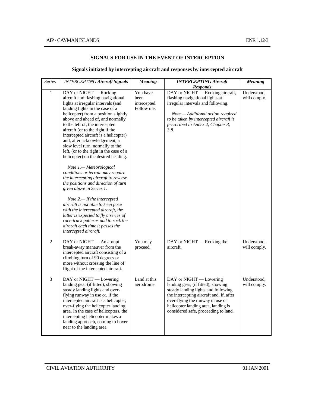# **SIGNALS FOR USE IN THE EVENT OF INTERCEPTION**

# **Signals initiated by intercepting aircraft and responses by intercepted aircraft**

| <b>Series</b>  | <b>INTERCEPTING Aircraft Signals</b>                                                                                                                                                                                                                                                                                                                                                                                                                                                                                                                                                                                                                                                                                                                                                                                                                                                                | <b>Meaning</b>                                 | <b>INTERCEPTING Aircraft</b>                                                                                                                                                                                                                                          | <b>Meaning</b>              |
|----------------|-----------------------------------------------------------------------------------------------------------------------------------------------------------------------------------------------------------------------------------------------------------------------------------------------------------------------------------------------------------------------------------------------------------------------------------------------------------------------------------------------------------------------------------------------------------------------------------------------------------------------------------------------------------------------------------------------------------------------------------------------------------------------------------------------------------------------------------------------------------------------------------------------------|------------------------------------------------|-----------------------------------------------------------------------------------------------------------------------------------------------------------------------------------------------------------------------------------------------------------------------|-----------------------------|
|                |                                                                                                                                                                                                                                                                                                                                                                                                                                                                                                                                                                                                                                                                                                                                                                                                                                                                                                     |                                                | <b>Responds</b>                                                                                                                                                                                                                                                       |                             |
| $\mathbf{1}$   | DAY or NIGHT — Rocking<br>aircraft and flashing navigational<br>lights at irregular intervals (and<br>landing lights in the case of a<br>helicopter) from a position slightly<br>above and ahead of, and normally<br>to the left of, the intercepted<br>aircraft (or to the right if the<br>intercepted aircraft is a helicopter)<br>and, after acknowledgement, a<br>slow level turn, normally to the<br>left, (or to the right in the case of a<br>helicopter) on the desired heading.<br>Note 1.— Meteorological<br>conditions or terrain may require<br>the intercepting aircraft to reverse<br>the positions and direction of turn<br>given above in Series 1.<br>Note $2$ . If the intercepted<br>aircraft is not able to keep pace<br>with the intercepted aircraft, the<br>latter is expected to fly a series of<br>race-track patterns and to rock the<br>aircraft each time it passes the | You have<br>been<br>intercepted.<br>Follow me. | DAY or NIGHT - Rocking aircraft,<br>flashing navigational lights at<br>irregular intervals and following.<br>Note.- Additional action required<br>to be taken by intercepted aircraft is<br>prescribed in Annex 2, Chapter 3,<br>3.8.                                 | Understood,<br>will comply. |
| $\overline{c}$ | intercepted aircraft.<br>DAY or NIGHT - An abrupt<br>break-away maneuver from the<br>intercepted aircraft consisting of a<br>climbing turn of 90 degrees or<br>more without crossing the line of<br>flight of the intercepted aircraft.                                                                                                                                                                                                                                                                                                                                                                                                                                                                                                                                                                                                                                                             | You may<br>proceed.                            | $DAY$ or NIGHT — Rocking the<br>aircraft.                                                                                                                                                                                                                             | Understood,<br>will comply. |
| 3              | DAY or NIGHT - Lowering<br>landing gear (if fitted), showing<br>steady landing lights and over-<br>flying runway in use or, if the<br>intercepted aircraft is a helicopter,<br>over-flying the helicopter landing<br>area. In the case of helicopters, the<br>intercepting helicopter makes a<br>landing approach, coming to hover<br>near to the landing area.                                                                                                                                                                                                                                                                                                                                                                                                                                                                                                                                     | Land at this<br>aerodrome.                     | $DAY$ or NIGHT — Lowering<br>landing gear, (if fitted), showing<br>steady landing lights and following<br>the intercepting aircraft and, if, after<br>over-flying the runway in use or<br>helicopter landing area, landing is<br>considered safe, proceeding to land. | Understood,<br>will comply. |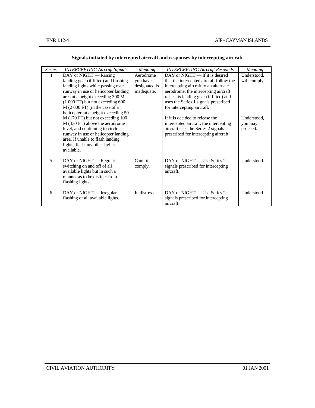| <b>Series</b> | <b>INTERCEPTING Aircraft Signals</b>                                                                                                                                                                                             | Meaning                      | <b>INTERCEPTING Aircraft Responds</b>                                                                                                                                                          | Meaning                            |
|---------------|----------------------------------------------------------------------------------------------------------------------------------------------------------------------------------------------------------------------------------|------------------------------|------------------------------------------------------------------------------------------------------------------------------------------------------------------------------------------------|------------------------------------|
| 4             | DAY or NIGHT — Raising<br>landing gear (if fitted) and flashing                                                                                                                                                                  | Aerodrome<br>you have        | DAY or NIGHT — If it is desired<br>that the intercepted aircraft follow the                                                                                                                    | Understood,<br>will comply.        |
|               | landing lights while passing over<br>runway in use or helicopter landing<br>area at a height exceeding 300 M<br>(1 000 FT) but not exceeding 600<br>$M(2 000 FT)$ (in the case of a<br>helicopter, at a height exceeding 50      | designated is<br>inadequate. | intercepting aircraft to an alternate<br>aerodrome, the intercepting aircraft<br>raises its landing gear (if fitted) and<br>uses the Series 1 signals prescribed<br>for intercepting aircraft. |                                    |
|               | M (170 FT) but not exceeding 100<br>M (330 FT) above the aerodrome<br>level, and continuing to circle<br>runway in use or helicopter landing<br>area. If unable to flash landing<br>lights, flash any other lights<br>available. |                              | If it is decided to release the<br>intercepted aircraft, the intercepting<br>aircraft uses the Series 2 signals<br>prescribed for intercepting aircraft.                                       | Understood,<br>you may<br>proceed. |
| 5             | DAY or NIGHT - Regular<br>switching on and off of all<br>available lights but in such a<br>manner as to be distinct from<br>flashing lights.                                                                                     | Cannot<br>comply.            | DAY or NIGHT - Use Series 2<br>signals prescribed for intercepting<br>aircraft.                                                                                                                | Understood.                        |
| 6             | $DAY$ or NIGHT — Irregular<br>flashing of all available lights.                                                                                                                                                                  | In distress                  | DAY or NIGHT — Use Series 2<br>signals prescribed for intercepting<br>aircraft.                                                                                                                | Understood.                        |

# **Signals initiated by intercepted aircraft and responses by intercepting aircraft**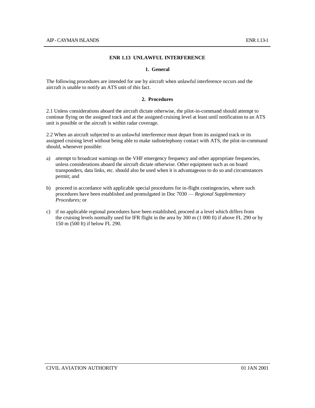#### **ENR 1.13 UNLAWFUL INTERFERENCE**

#### **1. General**

The following procedures are intended for use by aircraft when unlawful interference occurs and the aircraft is unable to notify an ATS unit of this fact.

#### **2. Procedures**

2.1 Unless considerations aboard the aircraft dictate otherwise, the pilot-in-command should attempt to continue flying on the assigned track and at the assigned cruising level at least until notification to an ATS unit is possible or the aircraft is within radar coverage.

2.2 When an aircraft subjected to an unlawful interference must depart from its assigned track or its assigned cruising level without being able to make radiotelephony contact with ATS, the pilot-in-command should, whenever possible:

- a) attempt to broadcast warnings on the VHF emergency frequency and other appropriate frequencies, unless considerations aboard the aircraft dictate otherwise. Other equipment such as on board transponders, data links, etc. should also be used when it is advantageous to do so and circumstances permit; and
- b) proceed in accordance with applicable special procedures for in-flight contingencies, where such procedures have been established and promulgated in Doc 7030 — *Regional Supplementary Procedures;* or
- c) if no applicable regional procedures have been established, proceed at a level which differs from the cruising levels normally used for IFR flight in the area by 300 m (1 000 ft) if above FL 290 or by 150 m (500 ft) if below FL 290.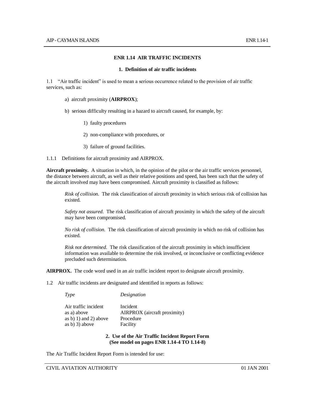#### **ENR 1.14 AIR TRAFFIC INCIDENTS**

#### **1. Definition of air traffic incidents**

1.1 "Air traffic incident" is used to mean a serious occurrence related to the provision of air traffic services, such as:

#### a) aircraft proximity (**AIRPROX**);

- b) serious difficulty resulting in a hazard to aircraft caused, for example, by:
	- 1) faulty procedures
	- 2) non-compliance with procedures, or
	- 3) failure of ground facilities.

## 1.1.1 Definitions for aircraft proximity and AIRPROX.

**Aircraft proximity.** A situation in which, in the opinion of the pilot or the air traffic services personnel, the distance between aircraft, as well as their relative positions and speed, has been such that the safety of the aircraft involved may have been compromised. Aircraft proximity is classified as follows:

*Risk of collision.* The risk classification of aircraft proximity in which serious risk of collision has existed.

*Safety not assured.* The risk classification of aircraft proximity in which the safety of the aircraft may have been compromised.

*No risk of collision.* The risk classification of aircraft proximity in which no risk of collision has existed.

*Risk not determined.* The risk classification of the aircraft proximity in which insufficient information was available to determine the risk involved, or inconclusive or conflicting evidence precluded such determination.

**AIRPROX.** The code word used in an air traffic incident report to designate aircraft proximity.

1.2 Air traffic incidents are designated and identified in reports as follows:

| Type                                                                              | Designation                                                       |
|-----------------------------------------------------------------------------------|-------------------------------------------------------------------|
| Air traffic incident<br>as a) above<br>as b) 1) and 2) above<br>as b) $3$ ) above | Incident<br>AIRPROX (aircraft proximity)<br>Procedure<br>Facility |

#### **2. Use of the Air Traffic Incident Report Form (See model on pages ENR 1.14-4 TO 1.14-8)**

The Air Traffic Incident Report Form is intended for use: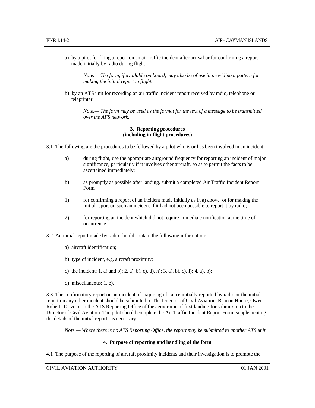a) by a pilot for filing a report on an air traffic incident after arrival or for confirming a report made initially by radio during flight.

*Note.— The form, if available on board, may also be of use in providing a pattern for making the initial report in flight.*

b) by an ATS unit for recording an air traffic incident report received by radio, telephone or teleprinter.

*Note.— The form may be used as the format for the text of a message to be transmitted over the AFS network.*

#### **3. Reporting procedures (including in-flight procedures)**

- 3.1 The following are the procedures to be followed by a pilot who is or has been involved in an incident:
	- a) during flight, use the appropriate air/ground frequency for reporting an incident of major significance, particularly if it involves other aircraft, so as to permit the facts to be ascertained immediately;
	- b) as promptly as possible after landing, submit a completed Air Traffic Incident Report Form
	- 1) for confirming a report of an incident made initially as in a) above, or for making the initial report on such an incident if it had not been possible to report it by radio;
	- 2) for reporting an incident which did not require immediate notification at the time of occurrence.
- 3.2 An initial report made by radio should contain the following information:
	- a) aircraft identification;
	- b) type of incident, e.g. aircraft proximity;
	- c) the incident; 1. a) and b); 2. a), b), c), d), n); 3. a), b), c), I); 4. a), b);
	- d) miscellaneous: 1. e).

3.3 The confirmatory report on an incident of major significance initially reported by radio or the initial report on any other incident should be submitted to The Director of Civil Aviation, Beacon House, Owen Roberts Drive or to the ATS Reporting Office of the aerodrome of first landing for submission to the Director of Civil Aviation. The pilot should complete the Air Traffic Incident Report Form, supplementing the details of the initial reports as necessary.

*Note.— Where there is no ATS Reporting Office, the report may be submitted to another ATS unit.*

#### **4. Purpose of reporting and handling of the form**

4.1 The purpose of the reporting of aircraft proximity incidents and their investigation is to promote the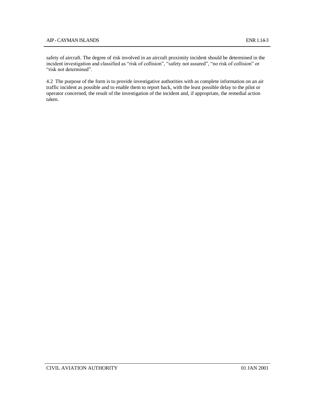safety of aircraft. The degree of risk involved in an aircraft proximity incident should be determined in the incident investigation and classified as "risk of collision", "safety not assured", "no risk of collision" or "risk not determined".

4.2 The purpose of the form is to provide investigative authorities with as complete information on an air traffic incident as possible and to enable them to report back, with the least possible delay to the pilot or operator concerned, the result of the investigation of the incident and, if appropriate, the remedial action taken.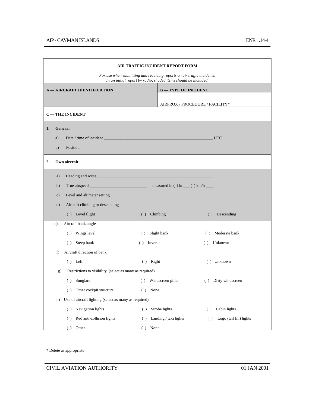|    |         |                                                         | AIR TRAFFIC INCIDENT REPORT FORM                                                                                                           |                                 |
|----|---------|---------------------------------------------------------|--------------------------------------------------------------------------------------------------------------------------------------------|---------------------------------|
|    |         |                                                         | For use when submitting and receiving reports on air traffic incidents.<br>In an initial report by radio, shaded items should be included. |                                 |
|    |         | <b>A</b> — AIRCRAFT IDENTIFICATION                      | <b>B-TYPE OF INCIDENT</b>                                                                                                                  |                                 |
|    |         |                                                         |                                                                                                                                            |                                 |
|    |         |                                                         |                                                                                                                                            | AIRPROX / PROCEDURE / FACILITY* |
|    |         | <b>C-THE INCIDENT</b>                                   |                                                                                                                                            |                                 |
| 1. | General |                                                         |                                                                                                                                            |                                 |
|    | a)      |                                                         |                                                                                                                                            |                                 |
|    | b)      |                                                         |                                                                                                                                            |                                 |
| 2. |         | Own aircraft                                            |                                                                                                                                            |                                 |
|    |         |                                                         |                                                                                                                                            |                                 |
|    | a)      |                                                         |                                                                                                                                            |                                 |
|    | b)      |                                                         |                                                                                                                                            |                                 |
|    | c)      |                                                         |                                                                                                                                            |                                 |
|    | d)      | Aircraft climbing or descending                         |                                                                                                                                            |                                 |
|    |         | ( ) Level flight                                        | ( ) Climbing                                                                                                                               | ( ) Descending                  |
|    | e)      | Aircraft bank angle                                     |                                                                                                                                            |                                 |
|    |         | Wings level<br>( )                                      | Slight bank<br>( )                                                                                                                         | () Moderate bank                |
|    |         | Steep bank<br>( )                                       | ( ) Inverted                                                                                                                               | ( ) Unknown                     |
|    | f)      | Aircraft direction of bank                              |                                                                                                                                            |                                 |
|    |         | $()$ Left                                               | $()$ Right                                                                                                                                 | ( ) Unknown                     |
|    | g)      | Restrictions to visibility (select as many as required) |                                                                                                                                            |                                 |
|    |         | Sunglare<br>( )                                         | () Windscreen pillar                                                                                                                       | ( ) Dirty windscreen            |
|    |         | () Other cockpit structure                              | $()$ None                                                                                                                                  |                                 |
|    | h)      | Use of aircraft lighting (select as many as required)   |                                                                                                                                            |                                 |
|    |         | Navigation lights<br>( )                                | Strobe lights<br>( )                                                                                                                       | Cabin lights<br>( )             |
|    |         | Red anti-collision lights<br>$\left( \right)$           | Landing / taxi lights<br>( )                                                                                                               | Logo (tail fin) lights<br>( )   |
|    |         | Other<br>( )                                            | None<br>( )                                                                                                                                |                                 |

\* Delete as appropriate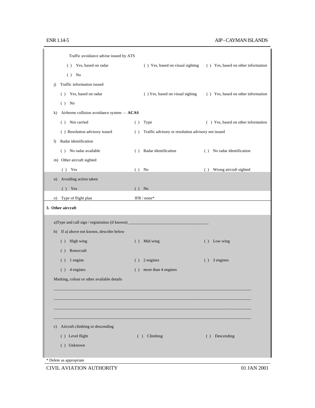|                   | Traffic avoidance advise issued by ATS                                            |       |                                                    |                  |                                     |
|-------------------|-----------------------------------------------------------------------------------|-------|----------------------------------------------------|------------------|-------------------------------------|
|                   | Yes, based on radar<br>( )                                                        |       | () Yes, based on visual sighting                   |                  | () Yes, based on other information  |
|                   | No<br>( )                                                                         |       |                                                    |                  |                                     |
| $\mathbf{j}$      | Traffic information issued                                                        |       |                                                    |                  |                                     |
| ( )               | Yes, based on radar                                                               |       | () Yes, based on visual sighing                    |                  | () Yes, based on other information  |
| ( )               | No                                                                                |       |                                                    |                  |                                     |
| k)                | Airborne collision avoidance system - ACAS                                        |       |                                                    |                  |                                     |
|                   | ( ) Not carried                                                                   | ( )   | Type                                               |                  | ( ) Yes, based on other information |
|                   | () Resolution advisory issued                                                     | ( )   | Traffic advisory or resolution advisory not issued |                  |                                     |
| $\bf{D}$          | Radar identification                                                              |       |                                                    |                  |                                     |
|                   | () No radar available                                                             |       | ( ) Radar identification                           |                  | () No radar identification          |
|                   | m) Other aircraft sighted                                                         |       |                                                    |                  |                                     |
|                   | $()$ Yes                                                                          | () No |                                                    | $\left( \right)$ | Wrong aircraft sighted              |
| n)                | Avoiding action taken                                                             |       |                                                    |                  |                                     |
|                   | $()$ Yes                                                                          | () No |                                                    |                  |                                     |
|                   |                                                                                   |       |                                                    |                  |                                     |
| $\circ$ )         | Type of flight plan                                                               |       | IFR / $none*$                                      |                  |                                     |
| 3. Other aircraft |                                                                                   |       |                                                    |                  |                                     |
|                   |                                                                                   |       |                                                    |                  |                                     |
|                   | a)Type and call sign / registration (if known) __________________________________ |       |                                                    |                  |                                     |
|                   | b) If a) above not known, describe below                                          |       |                                                    |                  |                                     |
| ( )               | High wing                                                                         | ( )   | Mid wing                                           | $\left( \right)$ | Low wing                            |
| ( )               | Rotorcraft                                                                        |       |                                                    |                  |                                     |
| $($ )             | 1 engine                                                                          | ( )   | 2 engines                                          | ( )              | 3 engines                           |
| ( )               | 4 engines                                                                         | ( )   | more than 4 engines                                |                  |                                     |
|                   | Marking, colour or other available details                                        |       |                                                    |                  |                                     |
|                   |                                                                                   |       |                                                    |                  |                                     |
|                   |                                                                                   |       |                                                    |                  |                                     |
|                   |                                                                                   |       |                                                    |                  |                                     |
| c)                | Aircraft climbing or descending                                                   |       |                                                    |                  |                                     |
|                   | () Level flight                                                                   | ( )   | Climbing                                           | ( )              | Descending                          |

\* Delete as appropriate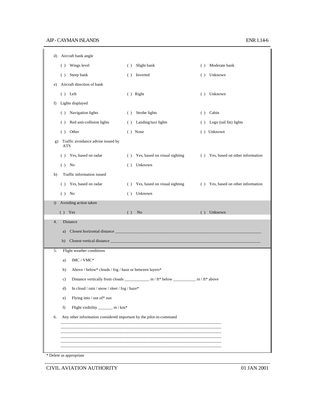AIP -CAYMAN ISLANDS ENR 1.14-6

| d) Aircraft bank angle                                      |                                                                    |                                        |
|-------------------------------------------------------------|--------------------------------------------------------------------|----------------------------------------|
| Wings level<br>( )                                          | Slight bank<br>( )                                                 | Moderate bank<br>( )                   |
| Steep bank<br>( )                                           | ( ) Inverted                                                       | Unknown<br>( )                         |
| Aircraft direction of bank<br>e)                            |                                                                    |                                        |
| $()$ Left                                                   | $()$ Right                                                         | ( ) Unknown                            |
| Lights displayed<br>f)                                      |                                                                    |                                        |
| Navigation lights<br>( )                                    | ( ) Strobe lights                                                  | Cabin<br>( )                           |
| Red anti-collision lights<br>( )                            | () Landing/taxi lights                                             | Logo (tail fin) lights<br>( )          |
| Other<br>( )                                                | ( ) None                                                           | () Unknown                             |
| Traffic avoidance advise issued by<br>g)<br><b>ATS</b>      |                                                                    |                                        |
| Yes, based on radar<br>( )                                  | () Yes, based on visual sighting                                   | Yes, based on other information<br>( ) |
| $()$ No                                                     | () Unknown                                                         |                                        |
| Traffic information issued<br>h)                            |                                                                    |                                        |
| () Yes, based on radar                                      | () Yes, based on visual sighting                                   | () Yes, based on other information     |
| () No                                                       | Unknown<br>( )                                                     |                                        |
| Avoiding action taken<br>i)                                 |                                                                    |                                        |
| $()$ Yes                                                    | No<br>( )                                                          | Unknown<br>( )                         |
| Distance<br>4.                                              |                                                                    |                                        |
| a)                                                          |                                                                    |                                        |
|                                                             |                                                                    |                                        |
|                                                             |                                                                    |                                        |
| Flight weather conditions<br>5.                             |                                                                    |                                        |
| $IMC$ / $VMC^{\ast}$<br>a)                                  |                                                                    |                                        |
| Above / below* clouds / fog / haze or between layers*<br>b) |                                                                    |                                        |
| c)                                                          |                                                                    |                                        |
| In cloud / rain / snow / sleet / fog / haze*<br>d)          |                                                                    |                                        |
| Flying into / out of* sun<br>e)                             |                                                                    |                                        |
| Flight visibility _______ m / km*<br>f)                     |                                                                    |                                        |
| 6.                                                          | Any other information considered important by the pilot-in-command |                                        |
|                                                             |                                                                    |                                        |
|                                                             |                                                                    |                                        |

\* Delete as appropriate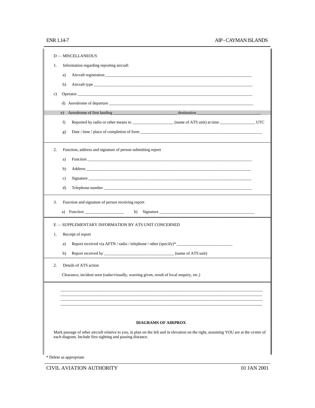|    | D - MISCELLANEOUS                                                                                                                                                                                                                    |  |
|----|--------------------------------------------------------------------------------------------------------------------------------------------------------------------------------------------------------------------------------------|--|
| 1. | Information regarding reporting aircraft                                                                                                                                                                                             |  |
|    | a)                                                                                                                                                                                                                                   |  |
|    | b)                                                                                                                                                                                                                                   |  |
| c) | Operator contract the contract of the contract of the contract of the contract of the contract of the contract of the contract of the contract of the contract of the contract of the contract of the contract of the contract       |  |
|    |                                                                                                                                                                                                                                      |  |
|    | Aerodrome of first landing entropy and the settlement of the settlement of the settlement of the settlement of the settlement of the settlement of the settlement of the settlement of the settlement of the settlement of the<br>e) |  |
|    | f)                                                                                                                                                                                                                                   |  |
|    | g)                                                                                                                                                                                                                                   |  |
|    |                                                                                                                                                                                                                                      |  |
| 2. | Function, address and signature of person submitting report                                                                                                                                                                          |  |
|    | a)                                                                                                                                                                                                                                   |  |
|    | b)                                                                                                                                                                                                                                   |  |
|    | c)                                                                                                                                                                                                                                   |  |
|    | $\mathbf{d}$                                                                                                                                                                                                                         |  |
|    |                                                                                                                                                                                                                                      |  |
| 3. | Function and signature of person receiving report                                                                                                                                                                                    |  |
|    | a) Function<br>b) Signature                                                                                                                                                                                                          |  |
|    | E — SUPPLEMENTARY INFORMATION BY ATS UNIT CONCERNED                                                                                                                                                                                  |  |
| 1. | Receipt of report                                                                                                                                                                                                                    |  |
|    | a)                                                                                                                                                                                                                                   |  |
|    | b)                                                                                                                                                                                                                                   |  |
| 2. | Details of ATS action                                                                                                                                                                                                                |  |
|    | Clearance, incident seen (radar/visually, warning given, result of local enquiry, etc.)                                                                                                                                              |  |
|    |                                                                                                                                                                                                                                      |  |
|    |                                                                                                                                                                                                                                      |  |
|    |                                                                                                                                                                                                                                      |  |
|    |                                                                                                                                                                                                                                      |  |
|    | <b>DIAGRAMS OF AIRPROX</b>                                                                                                                                                                                                           |  |
|    | Mark passage of other aircraft relative to you, in plan on the left and in elevation on the right, assuming YOU are at the centre of                                                                                                 |  |
|    | each diagram. Include first sighting and passing distance.                                                                                                                                                                           |  |
|    |                                                                                                                                                                                                                                      |  |
|    | * Delete as appropriate                                                                                                                                                                                                              |  |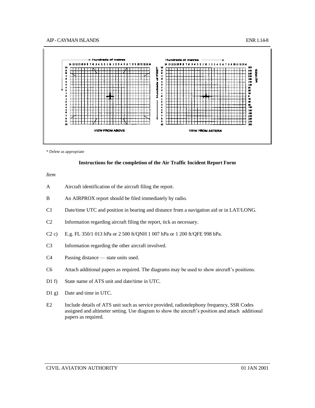#### AIP -CAYMAN ISLANDS ENR 1.14-8



\* Delete as appropriate

#### **Instructions for the completion of the Air Traffic Incident Report Form**

*Item*

- A Aircraft identification of the aircraft filing the report.
- B An AIRPROX report should be filed immediately by radio.
- C1 Date/time UTC and position in bearing and distance from a navigation aid or in LAT/LONG.
- C2 Information regarding aircraft filing the report, tick as necessary.
- C2 c) E.g. FL 350/1 013 hPa or 2 500 ft/QNH 1 007 hPa or 1 200 ft/QFE 998 hPa.
- C3 Information regarding the other aircraft involved.
- C4 Passing distance state units used.
- C6 Attach additional papers as required. The diagrams may be used to show aircraft's positions.
- D1 f) State name of ATS unit and date/time in UTC.
- D1 g) Date and time in UTC.
- E2 Include details of ATS unit such as service provided, radiotelephony frequency, SSR Codes assigned and altimeter setting. Use diagram to show the aircraft's position and attach additional papers as required.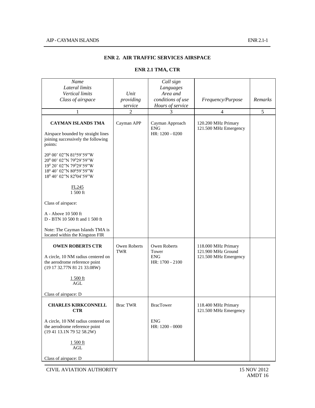# **ENR 2. AIR TRAFFIC SERVICES AIRSPACE**

# **ENR 2.1 TMA, CTR**

| Name                                                                                                                                                        |                            | Call sign                     |                                              |         |
|-------------------------------------------------------------------------------------------------------------------------------------------------------------|----------------------------|-------------------------------|----------------------------------------------|---------|
| Lateral limits                                                                                                                                              |                            | Languages                     |                                              |         |
| Vertical limits                                                                                                                                             | Unit                       | Area and                      |                                              |         |
| Class of airspace                                                                                                                                           | providing                  | conditions of use             | Frequency/Purpose                            | Remarks |
|                                                                                                                                                             | service                    | Hours of service              |                                              |         |
| 1                                                                                                                                                           | $\overline{2}$             | 3                             | $\overline{4}$                               | 5       |
| <b>CAYMAN ISLANDS TMA</b>                                                                                                                                   | Cayman APP                 | Cayman Approach<br><b>ENG</b> | 120.200 MHz Primary<br>121.500 MHz Emergency |         |
| Airspace bounded by straight lines<br>joining successively the following<br>points:                                                                         |                            | HR: 1200 - 0200               |                                              |         |
| 200 00' 02"N 81059'59"W<br>200 00' 02"N 79029'59"W<br>190 20' 02"N 79029'59"W<br>18 <sup>0</sup> 40' 02"N 80°59'59"W<br>18 <sup>0</sup> 40' 02"N 82°04'59"W |                            |                               |                                              |         |
| FL245<br>1 500 ft                                                                                                                                           |                            |                               |                                              |         |
| Class of airspace:                                                                                                                                          |                            |                               |                                              |         |
| A - Above 10 500 ft<br>D - BTN 10 500 ft and 1 500 ft                                                                                                       |                            |                               |                                              |         |
| Note: The Cayman Islands TMA is<br>located within the Kingston FIR                                                                                          |                            |                               |                                              |         |
| <b>OWEN ROBERTS CTR</b>                                                                                                                                     | Owen Roberts<br><b>TWR</b> | Owen Roberts<br>Tower         | 118.000 MHz Primary<br>121.900 MHz Ground    |         |
| A circle, 10 NM radius centered on<br>the aerodrome reference point<br>(19 17 32.77N 81 21 33.08W)                                                          |                            | <b>ENG</b><br>HR: 1700 - 2100 | 121.500 MHz Emergency                        |         |
| $1500$ ft<br><b>AGL</b>                                                                                                                                     |                            |                               |                                              |         |
| Class of airspace: D                                                                                                                                        |                            |                               |                                              |         |
| <b>CHARLES KIRKCONNELL</b><br><b>CTR</b>                                                                                                                    | <b>Brac TWR</b>            | <b>BracTower</b>              | 118.400 MHz Primary<br>121.500 MHz Emergency |         |
| A circle, 10 NM radius centered on<br>the aerodrome reference point<br>(19 41 13.1N 79 52 58.2W)                                                            |                            | <b>ENG</b><br>HR: 1200 - 0000 |                                              |         |
| 1 500 ft<br>AGL                                                                                                                                             |                            |                               |                                              |         |
| Class of airspace: D                                                                                                                                        |                            |                               |                                              |         |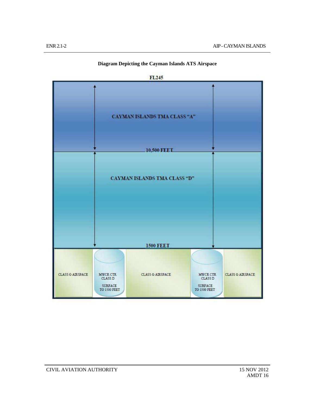

# **Diagram Depicting the Cayman Islands ATS Airspace**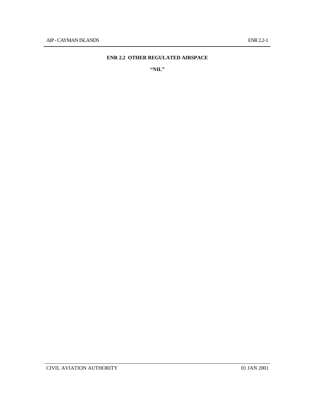# **ENR 2.2 OTHER REGULATED AIRSPACE**

**"NIL"**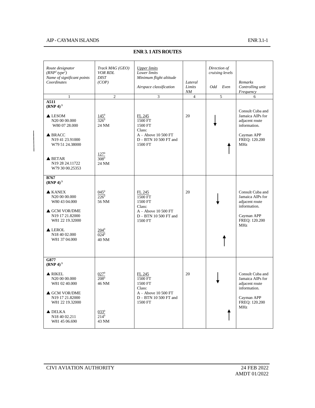# AIP -CAYMAN ISLANDS ENR 3.1-1

| Route designator<br>(RNP <sup>1</sup> type <sup>2</sup> )<br>Name of significant points<br>Coordinates                                       | Track MAG (GEO)<br><b>VOR RDL</b><br><b>DIST</b><br>(COP) | <b>Upper</b> limits<br>Lower limits<br>Minimum flight altitude<br>Airspace classification           | Lateral<br>Limits<br>NM | Direction of<br>cruising levels<br><b>Odd</b><br>Even | Remarks<br>Controlling unit<br>Frequency                                                                            |
|----------------------------------------------------------------------------------------------------------------------------------------------|-----------------------------------------------------------|-----------------------------------------------------------------------------------------------------|-------------------------|-------------------------------------------------------|---------------------------------------------------------------------------------------------------------------------|
| $\mathbf{1}$                                                                                                                                 | $\overline{c}$                                            | 3                                                                                                   | $\overline{4}$          | 5                                                     | 6                                                                                                                   |
| A511<br>$(RNP 4)^3$                                                                                                                          |                                                           |                                                                                                     |                         |                                                       | Consult Cuba and                                                                                                    |
| $\triangle$ LESOM<br>N20 00 00.000<br>W80 07 28,000<br>$\triangle$ BRACC<br>N19 41 23.91000<br>W79 51 24.38000                               | $145^{\circ}$<br>$326^0$<br>24 NM                         | FL 245<br>1500 FT<br>1500 FT<br>Class:<br>$A - Above 10 500 FT$<br>D - BTN 10 500 FT and<br>1500 FT | 20                      |                                                       | Jamaica AIPs for<br>adjacent route<br>information.<br>Cayman APP<br>FREQ: 120.200<br><b>MHz</b>                     |
| $\triangle$ BETAR<br>N <sub>19</sub> 28 24,11722<br>W79 30 00.25353                                                                          | $127^0$<br>$308^{0}$<br>24 NM                             |                                                                                                     |                         |                                                       |                                                                                                                     |
| <b>B767</b><br>$(RNP 4)^3$                                                                                                                   |                                                           |                                                                                                     |                         |                                                       |                                                                                                                     |
| $\triangle$ KANEX<br>N20 00 00.000<br>W80 43 04.000<br>$\triangle$ GCM VOR/DME<br>N19 17 21.82000<br>W81 22 19.32000                         | $045^{\circ}$<br>$226^0$<br>56 NM                         | FL 245<br>1500 FT<br>1500 FT<br>Class:<br>$A - Above 10 500 FT$<br>D - BTN 10 500 FT and<br>1500 FT | 20                      |                                                       | Consult Cuba and<br>Jamaica AIPs for<br>adjacent route<br>information.<br>Cayman APP<br>FREQ: 120.200<br><b>MHz</b> |
| $\triangle$ LEROL<br>N18 40 02.000<br>W81 37 04.000                                                                                          | $204^0$<br>$024^0$<br>40 NM                               |                                                                                                     |                         |                                                       |                                                                                                                     |
| G877<br>$(RNP 4)^3$                                                                                                                          |                                                           |                                                                                                     |                         |                                                       |                                                                                                                     |
| $\triangle$ RIKEL<br>N <sub>20</sub> 00 00.000<br>W81 02 40.000<br>$\triangle$ GCM VOR/DME<br>N <sub>19</sub> 17 21.82000<br>W81 22 19.32000 | $027^0$<br>$208^{\circ}$<br>46 NM                         | FL 245<br>1500 FT<br>1500 FT<br>Class:<br>A - Above 10 500 FT<br>D - BTN 10 500 FT and<br>1500 FT   | 20                      |                                                       | Consult Cuba and<br>Jamaica AIPs for<br>adjacent route<br>information.<br>Cayman APP<br>FREQ: 120.200<br><b>MHz</b> |
| $\triangle$ DELKA<br>N18 40 02.211<br>W81 45 06.690                                                                                          | $033^{0}$<br>$214^{0}$<br>43 NM                           |                                                                                                     |                         |                                                       |                                                                                                                     |

# **ENR 3. 1 ATS ROUTES**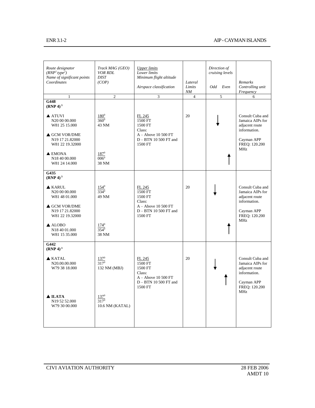| <b>ENR 3.</b> |  |
|---------------|--|
|               |  |

| Route designator<br>(RNP <sup>1</sup> type <sup>2</sup> )<br>Name of significant points<br>Coordinates                                                                                                                 | Track MAG (GEO)<br>VOR RDL<br><b>DIST</b><br>(COP)                        | Upper limits<br>Lower limits<br>Minimum flight altitude<br>Airspace classification                  | Lateral<br>Limits<br>NM<br>$\overline{4}$ | Direction of<br>cruising levels<br>Odd<br>Even | Remarks<br>Controlling unit<br>Frequency                                                                            |
|------------------------------------------------------------------------------------------------------------------------------------------------------------------------------------------------------------------------|---------------------------------------------------------------------------|-----------------------------------------------------------------------------------------------------|-------------------------------------------|------------------------------------------------|---------------------------------------------------------------------------------------------------------------------|
| $\mathbf{1}$<br>G448                                                                                                                                                                                                   | $\overline{c}$                                                            | 3                                                                                                   |                                           | 5                                              | 6                                                                                                                   |
| $(RNP 4)^3$                                                                                                                                                                                                            |                                                                           |                                                                                                     |                                           |                                                |                                                                                                                     |
| ▲ ATUVI<br>N20 00 00.000<br>W81 25 15.000<br>▲ GCM VOR/DME<br>N19 17 21.82000<br>W81 22 19.32000                                                                                                                       | $180^{0}$<br>$360^0$<br>43 NM                                             | FL 245<br>1500 FT<br>1500 FT<br>Class:<br>A - Above 10 500 FT<br>D - BTN 10 500 FT and<br>1500 FT   | 20                                        |                                                | Consult Cuba and<br>Jamaica AIPs for<br>adjacent route<br>information.<br>Cayman APP<br>FREQ: 120.200<br>MHz        |
| $\triangle$ EMONA<br>N18 40 00.000                                                                                                                                                                                     | $187^{0}$<br>$006^0$                                                      |                                                                                                     |                                           |                                                |                                                                                                                     |
| W81 24 14.000                                                                                                                                                                                                          | 38 NM                                                                     |                                                                                                     |                                           |                                                |                                                                                                                     |
| G435<br>$(RNP 4)^3$<br>$\triangle$ KARUL<br>N20 00 00.000<br>W81 48 01.000<br>$\triangle$ GCM VOR/DME<br>N19 17 21.82000<br>W81 22 19.32000<br>$\triangle$ ALOBO<br>N <sub>18</sub> 40 01.000<br>W81 15 35.000<br>G442 | $154^{0}$<br>$334^{0}$<br>49 NM<br>174 <sup>0</sup><br>$354^{0}$<br>38 NM | FL 245<br>1500 FT<br>1500 FT<br>Class:<br>A - Above 10 500 FT<br>D - BTN 10 500 FT and<br>1500 FT   | 20                                        |                                                | Consult Cuba and<br>Jamaica AIPs for<br>adjacent route<br>information.<br>Cayman APP<br>FREQ: 120.200<br><b>MHz</b> |
| $(RNP 4)^3$                                                                                                                                                                                                            |                                                                           |                                                                                                     |                                           |                                                |                                                                                                                     |
| $\triangle$ KATAL<br>N20.00.00.000<br>W79 38 18.000                                                                                                                                                                    | $137^{0}$<br>$317^{0}$<br>132 NM (MBJ)                                    | FL 245<br>1500 FT<br>1500 FT<br>Class:<br>$A - Above 10 500 FT$<br>D - BTN 10 500 FT and<br>1500 FT | 20                                        |                                                | Consult Cuba and<br>Jamaica AIPs for<br>adjacent route<br>information.<br>Cayman APP<br>FREQ: 120.200               |
| $\triangle$ ILATA<br>N19 52 52.000<br>W79 30 00.000                                                                                                                                                                    | $137^{0}$<br>$317^{0}$<br>10.6 NM (KATAL)                                 |                                                                                                     |                                           |                                                | MHz                                                                                                                 |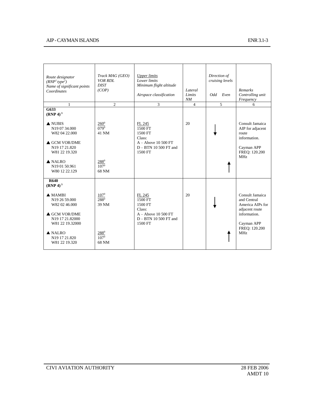| Route designator<br>(RNP <sup>1</sup> type <sup>2</sup> )<br>Name of significant points<br>Coordinates                                                                                                                             | Track MAG (GEO)<br><b>VOR RDL</b><br><b>DIST</b><br>(COP)   | <b>Upper limits</b><br>Lower limits<br>Minimum flight altitude<br>Airspace classification             | Lateral<br>Limits<br>NM | Direction of<br>cruising levels<br>Odd<br>Even | Remarks<br>Controlling unit<br>Frequency                                                                                               |
|------------------------------------------------------------------------------------------------------------------------------------------------------------------------------------------------------------------------------------|-------------------------------------------------------------|-------------------------------------------------------------------------------------------------------|-------------------------|------------------------------------------------|----------------------------------------------------------------------------------------------------------------------------------------|
| 1                                                                                                                                                                                                                                  | $\overline{c}$                                              | 3                                                                                                     | $\overline{4}$          | 5                                              | 6                                                                                                                                      |
| G633<br>$(RNP 4)^3$<br>$\triangle$ NUBIS<br>N <sub>19</sub> 07 34,000<br>W82 04 22,000<br>$\triangle$ GCM VOR/DME<br>N <sub>19</sub> 17 21.820<br>W81 22 19.320<br>$\triangle$ NALRO<br>N <sub>19</sub> 01 50.961<br>W80 12 22.129 | $260^0$<br>$079^{0}$<br>41 NM<br>2880<br>$107^{0}$<br>68 NM | FL 245<br>1500 FT<br>1500 FT<br>Class:<br>$A - Above 10 500 FT$<br>D - BTN 10 500 FT and<br>1500 FT   | 20                      |                                                | Consult Jamaica<br>AIP for adjacent<br>route<br>information.<br>Cayman APP<br>FREO: 120.200<br>MHz.                                    |
| <b>R640</b><br>$(RNP 4)^3$<br>AMMI<br>N <sub>19</sub> 26 59,000<br>W82 02 46.000<br>$\triangle$ GCM VOR/DME<br>N <sub>19</sub> 17 21.82000<br>W81 22 19.32000<br>$\triangle$ NALRO<br>N <sub>19</sub> 17 21.820<br>W81 22 19.320   | $107^{0}$<br>2880<br>39 NM<br>2880<br>$107^{0}$<br>68 NM    | FL 245<br>1500 FT<br>1500 FT<br>Class:<br>$A - Above 10 500 FT$<br>$D - BTN$ 10 500 FT and<br>1500 FT | 20                      |                                                | Consult Jamaica<br>and Central<br>America AIPs for<br>adjacent route<br>information.<br>Cayman APP<br>FREQ: 120.200<br>MH <sub>z</sub> |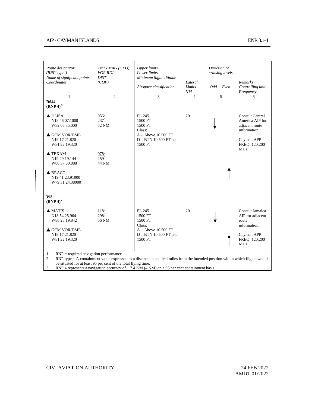# AIP -CAYMAN ISLANDS ENR 3.1-4

| Route designator<br>(RNP <sup>1</sup> type <sup>2</sup> )<br>Name of significant points<br>Coordinates                        | Track MAG (GEO)<br><b>VOR RDL</b><br><b>DIST</b><br>(COP)      | <b>Upper limits</b><br>Lower limits<br>Minimum flight altitude<br>Airspace classification                                      | Lateral<br>Limits<br>NM | Direction of<br>cruising levels<br>Odd Even | Remarks<br>Controlling unit<br>Frequency                                                                   |
|-------------------------------------------------------------------------------------------------------------------------------|----------------------------------------------------------------|--------------------------------------------------------------------------------------------------------------------------------|-------------------------|---------------------------------------------|------------------------------------------------------------------------------------------------------------|
| 1                                                                                                                             | $\mathfrak{2}$                                                 | 3                                                                                                                              | $\overline{4}$          | 5                                           | 6                                                                                                          |
| <b>R644</b><br>$(RNP 4)^3$                                                                                                    |                                                                |                                                                                                                                |                         |                                             |                                                                                                            |
| $\triangle$ ULISA<br>N18 46 07.1000<br>W82 05 35.000<br>$\triangle$ GCM VOR/DME<br>N <sub>19</sub> 17 21.820<br>W81 22 19.320 | $056^0$<br>$237^0$<br>52 NM                                    | FL 245<br>1500 FT<br>1500 FT<br>Class:<br>A - Above 10 500 FT<br>$D - BTN$ 10 500 FT and<br>1500 FT                            | 20                      |                                             | <b>Consult Central</b><br>America AIP for<br>adjacent route<br>information.<br>Cayman APP<br>FREQ: 120.200 |
| $\triangle$ TEXAM<br>N19 29 19.144<br>W80 37 30.888<br>$\triangle$ BRACC<br>N <sub>19</sub> 41 23.91000<br>W79 51 24.38000    | $078^{0}$<br>$259^{0}$<br>44 NM                                |                                                                                                                                |                         |                                             | MHz.                                                                                                       |
| W8<br>$(RNP 4)^3$                                                                                                             |                                                                |                                                                                                                                |                         |                                             |                                                                                                            |
| $\triangle$ MATIS<br>N18 54 25.964<br>W80 28 19.842<br>$\triangle$ GCM VOR/DME<br>N19 17 21.820<br>W81 22 19.320              | $118^{0}$<br>2980<br>56 NM                                     | FL 245<br>1500 FT<br>1500 FT<br>Class:<br>$A - Above 10 500 FT$<br>D - BTN 10 500 FT and<br>1500 FT                            | 20                      |                                             | Consult Jamaica<br>AIP for adjacent<br>route<br>information.<br>Cayman APP<br>FREQ: 120.200<br><b>MHz</b>  |
| $RNP = required navigation performance.$<br>1.<br>$\overline{2}$ .                                                            | be situated for at least 95 per cent of the total flying time. | RNP type = A containment value expressed as a distance in nautical miles from the intended position within which flights would |                         |                                             |                                                                                                            |

3. RNP 4 represents a navigation accuracy of  $\pm$  7.4 KM (4 NM) on a 95 per cent containment basis.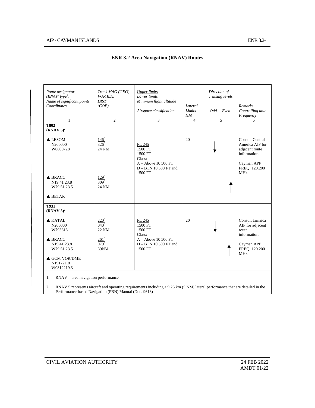| <b>ENR 3.2 Area Navigation (RNAV) Routes</b> |  |
|----------------------------------------------|--|
|----------------------------------------------|--|

| Route designator<br>(RNAV <sup>1</sup> type <sup>2</sup> )<br>Name of significant points<br>Coordinates                                        | Track MAG (GEO)<br><b>VOR RDL</b><br><b>DIST</b><br>(COP)       | <b>Upper limits</b><br>Lower limits<br>Minimum flight altitude<br>Airspace classification             | Lateral<br>Limits<br>NM | Direction of<br>cruising levels<br><i>Odd</i><br>Even | Remarks<br>Controlling unit<br>Frequency                                                                   |
|------------------------------------------------------------------------------------------------------------------------------------------------|-----------------------------------------------------------------|-------------------------------------------------------------------------------------------------------|-------------------------|-------------------------------------------------------|------------------------------------------------------------------------------------------------------------|
| $\mathbf{1}$                                                                                                                                   | $\overline{c}$                                                  | $\overline{3}$                                                                                        | $\overline{4}$          | $\overline{5}$                                        | 6                                                                                                          |
| <b>T802</b><br>$(RNAV 5)^2$                                                                                                                    |                                                                 |                                                                                                       |                         |                                                       |                                                                                                            |
| $\triangle$ LESOM<br>N200000<br>W0800728                                                                                                       | $146^0$<br>$326^0$<br>24 NM                                     | FL 245<br>1500 FT<br>1500 FT<br>Class:<br>$A - Above 10 500 FT$<br>$D - BTN$ 10 500 FT and            | 20                      |                                                       | <b>Consult Central</b><br>America AIP for<br>adjacent route<br>information.<br>Cayman APP<br>FREQ: 120.200 |
| $\triangle$ BRACC<br>N <sub>19</sub> 41 23.8<br>W79 51 23.5<br>$\triangle$ BETAR                                                               | $129^{0}$<br>$309^{0}$<br>24 NM                                 | 1500 FT                                                                                               |                         |                                                       | <b>MHz</b>                                                                                                 |
| <b>T931</b><br>$(RNAV 5)^2$                                                                                                                    |                                                                 |                                                                                                       |                         |                                                       |                                                                                                            |
| $\triangle$ KATAL<br>N200000<br>W793818<br>$\triangle$ BRACC<br>N <sub>19</sub> 41 23.8<br>W79 51 23.5<br>$\triangle$ GCM VOR/DME<br>N191721.8 | $220^0$<br>$040^{\circ}$<br>22 NM<br>$261^0$<br>$079^0$<br>89NM | FL 245<br>1500 FT<br>1500 FT<br>Class:<br>$A - Above 10 500 FT$<br>$D - BTN$ 10 500 FT and<br>1500 FT | 20                      |                                                       | Consult Jamaica<br>AIP for adjacent<br>route<br>information.<br>Cayman APP<br>FREQ: 120.200<br><b>MHz</b>  |
| W0812219.3                                                                                                                                     |                                                                 |                                                                                                       |                         |                                                       |                                                                                                            |
| $RNAV = area$ navigation performance.<br>1.                                                                                                    |                                                                 |                                                                                                       |                         |                                                       |                                                                                                            |

2. RNAV 5 represents aircraft and operating requirements including a 9.26 km (5 NM) lateral performance that are detailed in the Performance-based Navigation (PBN) Manual (Doc. 9613)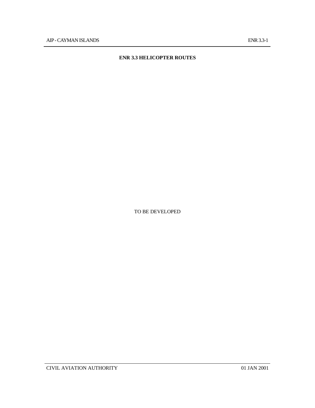# **ENR 3.3 HELICOPTER ROUTES**

TO BE DEVELOPED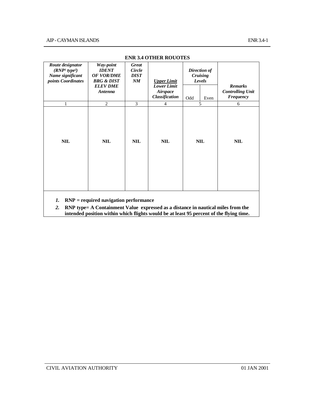| Route designator<br>(RNP <sup>1</sup> type <sup>2</sup> )<br>Name significant<br>points Coordinates                                     | Way-point<br><b>IDENT</b><br><b>OF VOR/DME</b><br><b>BRG &amp; DIST</b><br><b>ELEV DME</b><br><b>Antenna</b> | <b>Great</b><br><b>Circle</b><br><b>DIST</b><br>NM | <b>Upper Limit</b><br><b>Lower Limit</b><br><b>Airspace</b><br>Classification | Direction of<br>Cruising<br>Levels<br>Odd<br>Even | <b>Remarks</b><br><b>Controlling Unit</b><br><b>Frequency</b> |  |  |
|-----------------------------------------------------------------------------------------------------------------------------------------|--------------------------------------------------------------------------------------------------------------|----------------------------------------------------|-------------------------------------------------------------------------------|---------------------------------------------------|---------------------------------------------------------------|--|--|
| 1                                                                                                                                       | 2                                                                                                            | 3                                                  | 4                                                                             | 5                                                 | 6                                                             |  |  |
| <b>NIL</b>                                                                                                                              | <b>NIL</b>                                                                                                   | <b>NIL</b>                                         | <b>NIL</b>                                                                    | <b>NIL</b>                                        | <b>NIL</b>                                                    |  |  |
| $RNP = required$ navigation performance<br>1.<br>RNP type= A Containment Value expressed as a distance in nautical miles from the<br>2. |                                                                                                              |                                                    |                                                                               |                                                   |                                                               |  |  |

**ENR 3.4 OTHER ROUOTES**

*2.* **RNP type= A Containment Value expressed as a distance in nautical miles from the intended position within which flights would be at least 95 percent of the flying time.**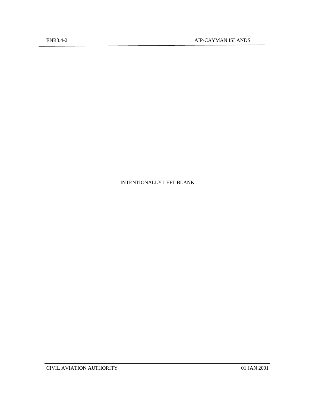# INTENTIONALLY LEFT BLANK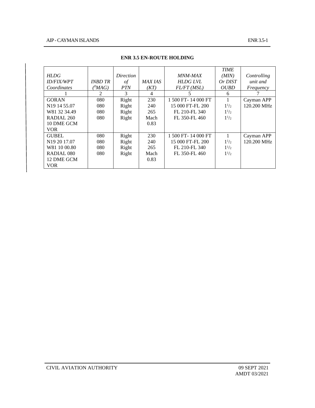# AIP -CAYMAN ISLANDS ENR 3.5-1

| <b>HLDG</b><br><b>ID/FIX/WPT</b><br>Coordinates<br><b>GORAN</b><br>N <sub>19</sub> 14 55.07<br>W81 32 34.49<br>RADIAL 260<br>10 DME GCM | <b>INBD TR</b><br>( $^0\!M\!AG$ )<br>$\mathcal{D}_{\mathcal{L}}$<br>080<br>080<br>080<br>080 | <i>Direction</i><br>οf<br><b>PTN</b><br>3<br>Right<br>Right<br>Right<br>Right | <b>MAX IAS</b><br>(KT)<br>4<br>230<br>240<br>265<br>Mach<br>0.83 | <i>MNM-MAX</i><br><b>HLDG LVL</b><br>FL/FT(MSL)<br>1 500 FT-14 000 FT<br>15 000 FT-FL 200<br>FL 210-FL 340<br>FL 350-FL 460 | <b>TIME</b><br>(MIN)<br>Or DIST<br><i>OUBD</i><br>6<br>1<br>$1^{1/2}$<br>$1^{1/2}$<br>$1^{1/2}$ | Controlling<br>unit and<br>Frequency<br>Cayman APP<br>120.200 MHz |
|-----------------------------------------------------------------------------------------------------------------------------------------|----------------------------------------------------------------------------------------------|-------------------------------------------------------------------------------|------------------------------------------------------------------|-----------------------------------------------------------------------------------------------------------------------------|-------------------------------------------------------------------------------------------------|-------------------------------------------------------------------|
| <b>VOR</b><br><b>GUBEL</b><br>N <sub>19</sub> 20 17.07<br>W81 10 00.80<br>RADIAL <sub>080</sub><br>12 DME GCM<br><b>VOR</b>             | 080<br>080<br>080<br>080                                                                     | Right<br>Right<br>Right<br>Right                                              | 230<br>240<br>265<br>Mach<br>0.83                                | 1 500 FT-14 000 FT<br>15 000 FT-FL 200<br>FL 210-FL 340<br>FL 350-FL 460                                                    | 1<br>$1^{1/2}$<br>$1^{1/2}$<br>$1^{1/2}$                                                        | Cayman APP<br>120.200 MHz                                         |

# **ENR 3.5 EN-ROUTE HOLDING**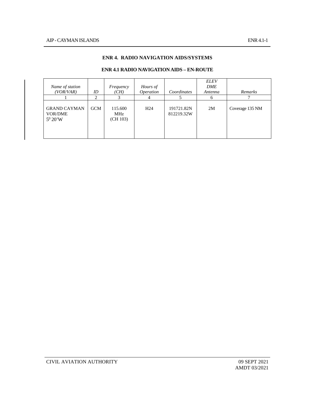# **ENR 4. RADIO NAVIGATION AIDS/SYSTEMS**

# **ENR 4.1 RADIO NAVIGATION AIDS – EN-ROUTE**

| Name of station<br>(VOR/VAR)                         | ID         | Frequency<br>(CH)          | Hours of<br><i>Operation</i> | Coordinates              | <b>ELEV</b><br><b>DME</b><br>Antenna | Remarks         |
|------------------------------------------------------|------------|----------------------------|------------------------------|--------------------------|--------------------------------------|-----------------|
|                                                      |            |                            |                              |                          | n                                    |                 |
| <b>GRAND CAYMAN</b><br><b>VOR/DME</b><br>$5^0 20' W$ | <b>GCM</b> | 115.600<br>MHz<br>(CH 103) | H <sub>24</sub>              | 191721.82N<br>812219.32W | 2M                                   | Coverage 135 NM |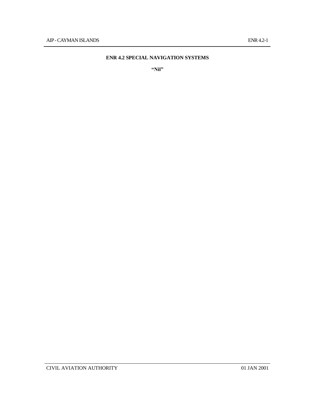# **ENR 4.2 SPECIAL NAVIGATION SYSTEMS**

**"Nil"**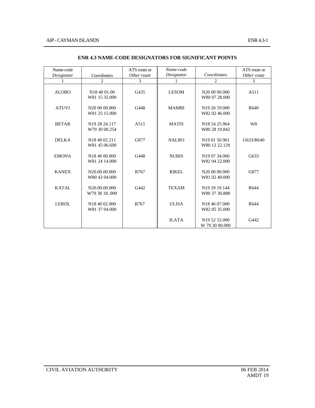| Name-code    |                                            | ATS route or | Name-code    |                                             | ATS route or   |
|--------------|--------------------------------------------|--------------|--------------|---------------------------------------------|----------------|
| Designator   | Coordinates                                | Other route  | Designator   | Coordinates                                 | Other route    |
|              | $\overline{2}$                             | 3            |              | 2                                           | 3              |
| <b>ALOBO</b> | N18 40 01.00<br>W81 15 35,000              | G435         | <b>LESOM</b> | N <sub>20</sub> 00 00,000<br>W80 07 28,000  | A511           |
| <b>ATUVI</b> | N <sub>20</sub> 00 00.000                  | G448         | <b>MAMBI</b> | N <sub>19</sub> 26 59,000                   | R640           |
|              | W81 25 15,000                              |              |              | W82 02 46,000                               |                |
| <b>BETAR</b> | N <sub>19</sub> 28 24.117<br>W79 30 00.254 | A511         | <b>MATIS</b> | N <sub>18</sub> 54 25.964<br>W80 28 19.842  | W <sub>8</sub> |
| <b>DELKA</b> | N <sub>18</sub> 40 02.211<br>W81 45 06.690 | G877         | <b>NALRO</b> | N <sub>19</sub> 01 50.961<br>W80 12 22.129  | G633/R640      |
| <b>EMONA</b> | N184000.000<br>W81 24 14,000               | G448         | <b>NUBIS</b> | N <sub>19</sub> 07 34,000<br>W82 04 22,000  | G633           |
| <b>KANEX</b> | N20.00.00.000<br>W80 43 04.000             | B767         | RIKEL        | N <sub>20</sub> 00 00,000<br>W81 02 40,000  | G877           |
| <b>KATAL</b> | N20.00.00.000<br>W79 38 18000              | G442         | <b>TEXAM</b> | N <sub>19</sub> 29 19.144<br>W80 37 30.888  | R644           |
| <b>LEROL</b> | N <sub>18</sub> 40 02,000<br>W81 37 04.000 | B767         | <b>ULISA</b> | N <sub>18</sub> 46 07,000<br>W82 05 35,000  | R644           |
|              |                                            |              | <b>ILATA</b> | N <sub>19</sub> 52 52,000<br>W 79 30 00.000 | G442           |

## **ENR 4.3 NAME-CODE DESIGNATORS FOR SIGNIFICANT POINTS**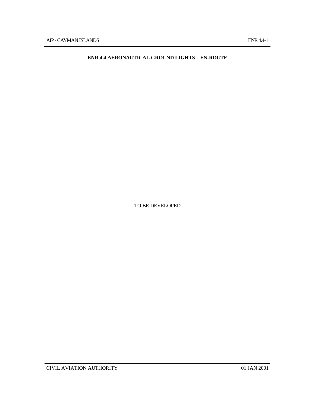**ENR 4.4 AERONAUTICAL GROUND LIGHTS – EN-ROUTE**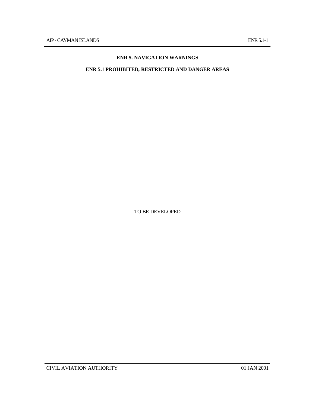# **ENR 5. NAVIGATION WARNINGS**

# **ENR 5.1 PROHIBITED, RESTRICTED AND DANGER AREAS**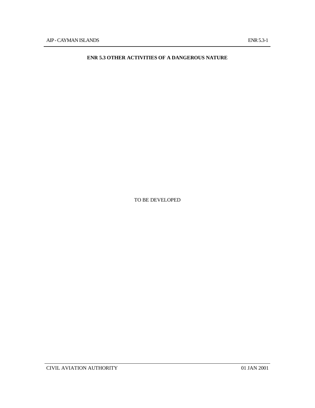**ENR 5.3 OTHER ACTIVITIES OF A DANGEROUS NATURE**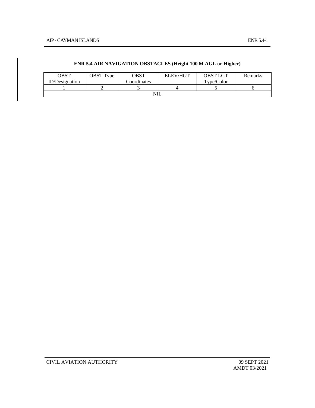| ENR 5.4 AIR NAVIGATION OBSTACLES (Height 100 M AGL or Higher) |  |
|---------------------------------------------------------------|--|
|---------------------------------------------------------------|--|

| OBST                  | OBST Type | OBST        | <b>ELEV/HGT</b> | <b>OBST LGT</b> | Remarks |  |  |
|-----------------------|-----------|-------------|-----------------|-----------------|---------|--|--|
| <b>ID/Designation</b> |           | Coordinates |                 | Type/Color      |         |  |  |
|                       |           |             |                 |                 |         |  |  |
| <b>NIL</b>            |           |             |                 |                 |         |  |  |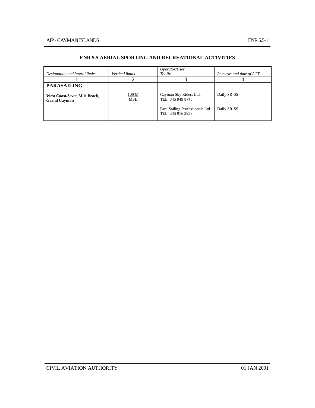| Designation and lateral limits                                            | Vertical limits         | <i>Operator/User</i><br>Tel Nr.                                                                     | Remarks and time of ACT    |
|---------------------------------------------------------------------------|-------------------------|-----------------------------------------------------------------------------------------------------|----------------------------|
|                                                                           |                         |                                                                                                     |                            |
| <b>PARASAILING</b><br>West Coast/Seven Mile Beach,<br><b>Grand Cayman</b> | 100 <sub>M</sub><br>MSL | Cayman Sky Riders Ltd.<br>TEL: 345 949 8745<br>Para-Sailing Professionals Ltd.<br>TEL: 345 916 2953 | Daily SR-SS<br>Daily SR-SS |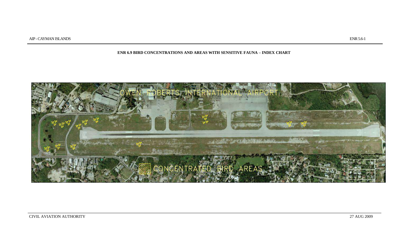# **ENR 6.9 BIRD CONCENTRATIONS AND AREAS WITH SENSITIVE FAUNA – INDEX CHART**

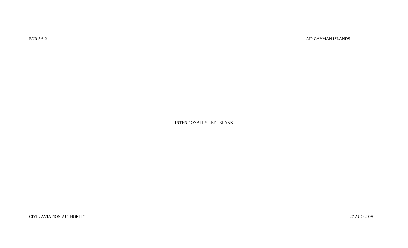INTENTIONALLY LEFT BLANK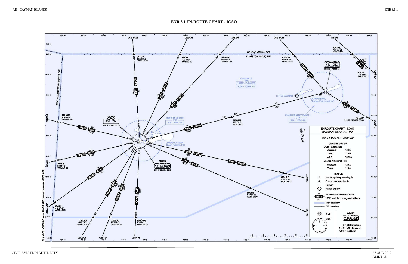

# **ENR 6.1 EN-ROUTE CHART - ICAO**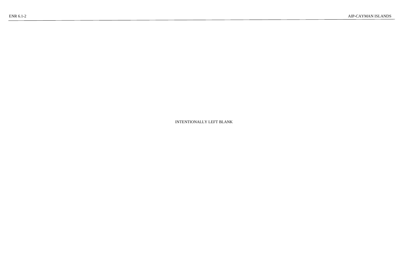INTENTIONALLY LEFT BLANK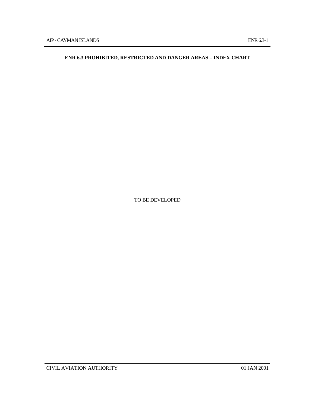**ENR 6.3 PROHIBITED, RESTRICTED AND DANGER AREAS – INDEX CHART**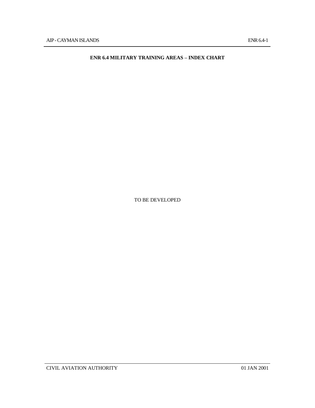**ENR 6.4 MILITARY TRAINING AREAS – INDEX CHART**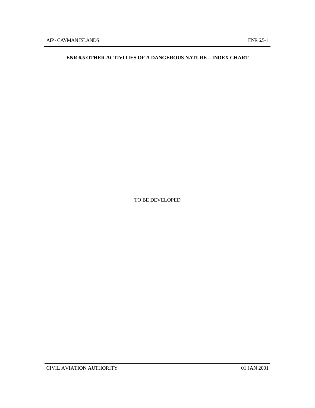**ENR 6.5 OTHER ACTIVITIES OF A DANGEROUS NATURE – INDEX CHART**